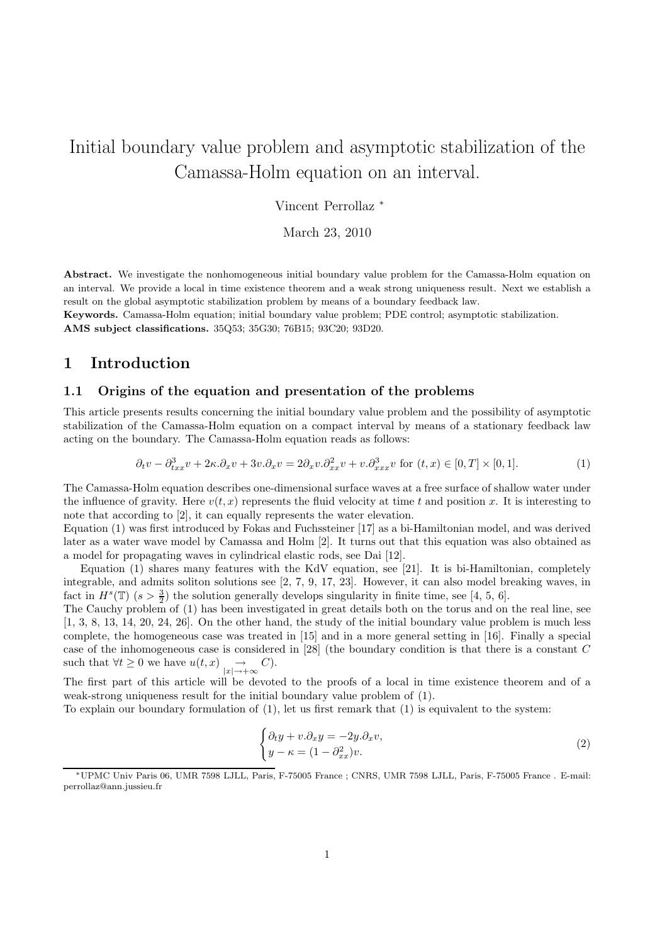# Initial boundary value problem and asymptotic stabilization of the Camassa-Holm equation on an interval.

Vincent Perrollaz <sup>∗</sup>

March 23, 2010

Abstract. We investigate the nonhomogeneous initial boundary value problem for the Camassa-Holm equation on an interval. We provide a local in time existence theorem and a weak strong uniqueness result. Next we establish a result on the global asymptotic stabilization problem by means of a boundary feedback law.

Keywords. Camassa-Holm equation; initial boundary value problem; PDE control; asymptotic stabilization. AMS subject classifications. 35Q53; 35G30; 76B15; 93C20; 93D20.

# 1 Introduction

## 1.1 Origins of the equation and presentation of the problems

This article presents results concerning the initial boundary value problem and the possibility of asymptotic stabilization of the Camassa-Holm equation on a compact interval by means of a stationary feedback law acting on the boundary. The Camassa-Holm equation reads as follows:

$$
\partial_t v - \partial_{txx}^3 v + 2\kappa \partial_x v + 3v \partial_x v = 2\partial_x v \partial_{xx}^2 v + v \partial_{xxx}^3 v \text{ for } (t, x) \in [0, T] \times [0, 1].
$$
 (1)

The Camassa-Holm equation describes one-dimensional surface waves at a free surface of shallow water under the influence of gravity. Here  $v(t, x)$  represents the fluid velocity at time t and position x. It is interesting to note that according to [2], it can equally represents the water elevation.

Equation (1) was first introduced by Fokas and Fuchssteiner [17] as a bi-Hamiltonian model, and was derived later as a water wave model by Camassa and Holm [2]. It turns out that this equation was also obtained as a model for propagating waves in cylindrical elastic rods, see Dai [12].

Equation (1) shares many features with the KdV equation, see [21]. It is bi-Hamiltonian, completely integrable, and admits soliton solutions see [2, 7, 9, 17, 23]. However, it can also model breaking waves, in fact in  $H^s(\mathbb{T})$   $(s > \frac{3}{2})$  the solution generally develops singularity in finite time, see [4, 5, 6].

The Cauchy problem of (1) has been investigated in great details both on the torus and on the real line, see [1, 3, 8, 13, 14, 20, 24, 26]. On the other hand, the study of the initial boundary value problem is much less complete, the homogeneous case was treated in [15] and in a more general setting in [16]. Finally a special case of the inhomogeneous case is considered in [28] (the boundary condition is that there is a constant C such that  $\forall t \geq 0$  we have  $u(t, x) \rightarrow \infty$ .

The first part of this article will be devoted to the proofs of a local in time existence theorem and of a weak-strong uniqueness result for the initial boundary value problem of (1).

To explain our boundary formulation of (1), let us first remark that (1) is equivalent to the system:

$$
\begin{cases} \partial_t y + v \cdot \partial_x y = -2y \cdot \partial_x v, \\ y - \kappa = (1 - \partial_{xx}^2) v. \end{cases}
$$
\n(2)

<sup>∗</sup>UPMC Univ Paris 06, UMR 7598 LJLL, Paris, F-75005 France ; CNRS, UMR 7598 LJLL, Paris, F-75005 France . E-mail: perrollaz@ann.jussieu.fr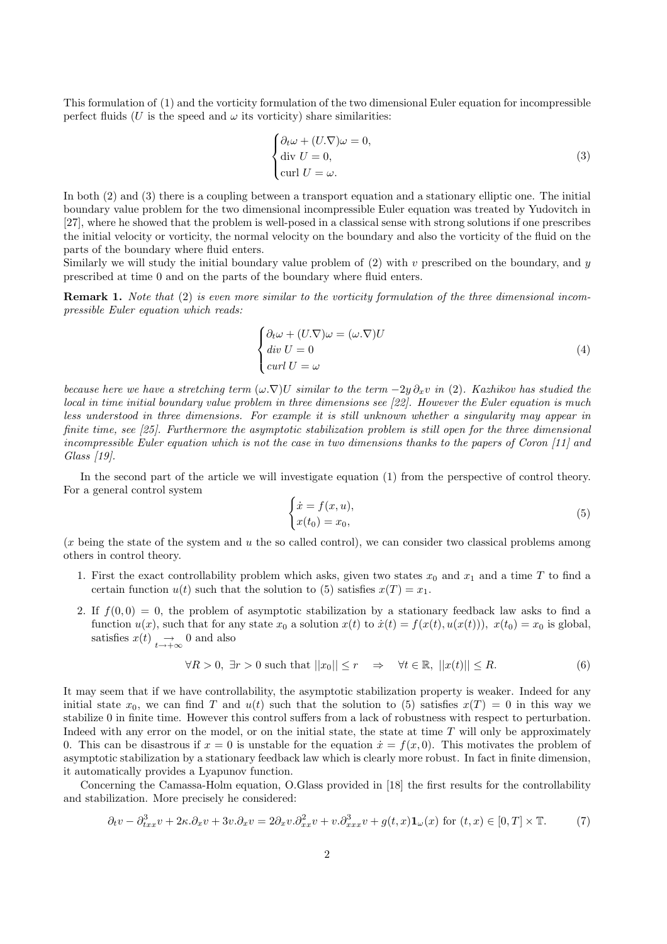This formulation of (1) and the vorticity formulation of the two dimensional Euler equation for incompressible perfect fluids (U is the speed and  $\omega$  its vorticity) share similarities:

$$
\begin{cases} \partial_t \omega + (U.\nabla)\omega = 0, \\ \text{div } U = 0, \\ \text{curl } U = \omega. \end{cases}
$$
 (3)

In both (2) and (3) there is a coupling between a transport equation and a stationary elliptic one. The initial boundary value problem for the two dimensional incompressible Euler equation was treated by Yudovitch in [27], where he showed that the problem is well-posed in a classical sense with strong solutions if one prescribes the initial velocity or vorticity, the normal velocity on the boundary and also the vorticity of the fluid on the parts of the boundary where fluid enters.

Similarly we will study the initial boundary value problem of  $(2)$  with v prescribed on the boundary, and y prescribed at time 0 and on the parts of the boundary where fluid enters.

Remark 1. Note that (2) is even more similar to the vorticity formulation of the three dimensional incompressible Euler equation which reads:

$$
\begin{cases}\n\partial_t \omega + (U.\nabla)\omega = (\omega.\nabla)U \\
\text{div } U = 0 \\
\text{curl } U = \omega\n\end{cases} \tag{4}
$$

because here we have a stretching term  $(\omega.\nabla)U$  similar to the term  $-2y\partial_xv$  in (2). Kazhikov has studied the local in time initial boundary value problem in three dimensions see [22]. However the Euler equation is much less understood in three dimensions. For example it is still unknown whether a singularity may appear in finite time, see [25]. Furthermore the asymptotic stabilization problem is still open for the three dimensional incompressible Euler equation which is not the case in two dimensions thanks to the papers of Coron [11] and Glass [19].

In the second part of the article we will investigate equation (1) from the perspective of control theory. For a general control system

$$
\begin{cases}\n\dot{x} = f(x, u), \\
x(t_0) = x_0,\n\end{cases}
$$
\n(5)

(x being the state of the system and u the so called control), we can consider two classical problems among others in control theory.

- 1. First the exact controllability problem which asks, given two states  $x_0$  and  $x_1$  and a time T to find a certain function  $u(t)$  such that the solution to (5) satisfies  $x(T) = x_1$ .
- 2. If  $f(0,0) = 0$ , the problem of asymptotic stabilization by a stationary feedback law asks to find a function  $u(x)$ , such that for any state  $x_0$  a solution  $x(t)$  to  $\dot{x}(t) = f(x(t), u(x(t)))$ ,  $x(t_0) = x_0$  is global, satisfies  $x(t) \rightarrow t \rightarrow +\infty$  o and also

$$
\forall R > 0, \exists r > 0 \text{ such that } ||x_0|| \le r \quad \Rightarrow \quad \forall t \in \mathbb{R}, \ ||x(t)|| \le R. \tag{6}
$$

It may seem that if we have controllability, the asymptotic stabilization property is weaker. Indeed for any initial state  $x_0$ , we can find T and  $u(t)$  such that the solution to (5) satisfies  $x(T) = 0$  in this way we stabilize 0 in finite time. However this control suffers from a lack of robustness with respect to perturbation. Indeed with any error on the model, or on the initial state, the state at time  $T$  will only be approximately 0. This can be disastrous if  $x = 0$  is unstable for the equation  $\dot{x} = f(x, 0)$ . This motivates the problem of asymptotic stabilization by a stationary feedback law which is clearly more robust. In fact in finite dimension, it automatically provides a Lyapunov function.

Concerning the Camassa-Holm equation, O.Glass provided in [18] the first results for the controllability and stabilization. More precisely he considered:

$$
\partial_t v - \partial_{txx}^3 v + 2\kappa \partial_x v + 3v \partial_x v = 2\partial_x v \partial_{xx}^2 v + v \partial_{xxx}^3 v + g(t, x) \mathbf{1}_{\omega}(x) \text{ for } (t, x) \in [0, T] \times \mathbb{T}.
$$
 (7)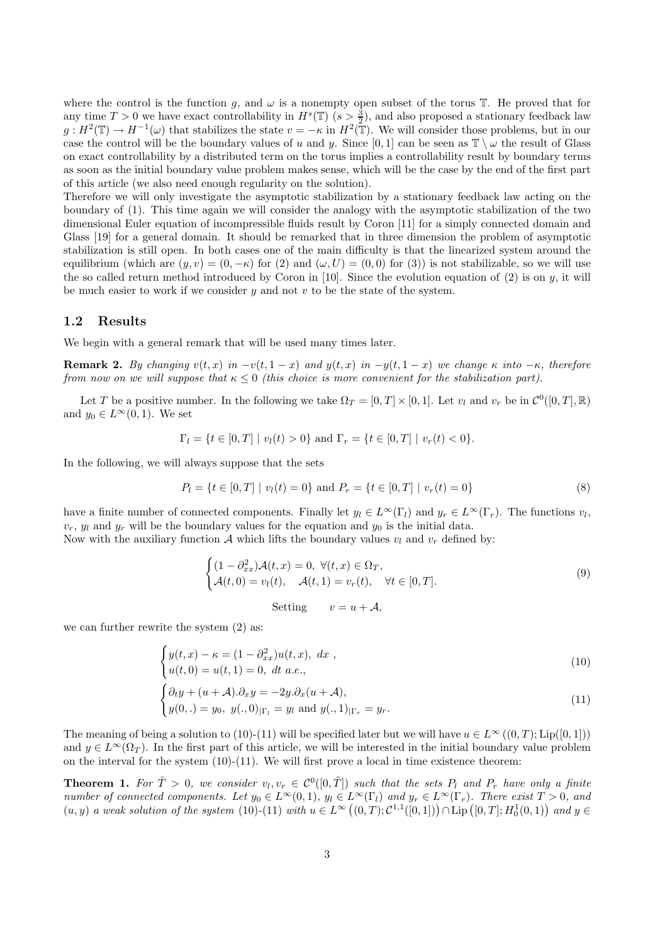where the control is the function g, and  $\omega$  is a nonempty open subset of the torus T. He proved that for any time  $T > 0$  we have exact controllability in  $H^s(\mathbb{T})$   $(s > \frac{3}{2})$ , and also proposed a stationary feedback law  $g: H^2(\mathbb{T}) \to H^{-1}(\omega)$  that stabilizes the state  $v = -\kappa$  in  $H^2(\mathbb{T})$ . We will consider those problems, but in our case the control will be the boundary values of u and y. Since [0, 1] can be seen as  $\mathbb{T} \setminus \omega$  the result of Glass on exact controllability by a distributed term on the torus implies a controllability result by boundary terms as soon as the initial boundary value problem makes sense, which will be the case by the end of the first part of this article (we also need enough regularity on the solution).

Therefore we will only investigate the asymptotic stabilization by a stationary feedback law acting on the boundary of (1). This time again we will consider the analogy with the asymptotic stabilization of the two dimensional Euler equation of incompressible fluids result by Coron [11] for a simply connected domain and Glass [19] for a general domain. It should be remarked that in three dimension the problem of asymptotic stabilization is still open. In both cases one of the main difficulty is that the linearized system around the equilibrium (which are  $(y, v) = (0, -\kappa)$  for (2) and  $(\omega, U) = (0, 0)$  for (3)) is not stabilizable, so we will use the so called return method introduced by Coron in [10]. Since the evolution equation of  $(2)$  is on  $y$ , it will be much easier to work if we consider  $y$  and not  $v$  to be the state of the system.

#### 1.2 Results

We begin with a general remark that will be used many times later.

Remark 2. By changing  $v(t, x)$  in  $-v(t, 1-x)$  and  $y(t, x)$  in  $-y(t, 1-x)$  we change  $\kappa$  into  $-\kappa$ , therefore from now on we will suppose that  $\kappa \leq 0$  (this choice is more convenient for the stabilization part).

Let T be a positive number. In the following we take  $\Omega_T = [0, T] \times [0, 1]$ . Let  $v_l$  and  $v_r$  be in  $\mathcal{C}^0([0, T], \mathbb{R})$ and  $y_0 \in L^{\infty}(0,1)$ . We set

$$
\Gamma_l = \{ t \in [0, T] \mid v_l(t) > 0 \} \text{ and } \Gamma_r = \{ t \in [0, T] \mid v_r(t) < 0 \}.
$$

In the following, we will always suppose that the sets

$$
P_l = \{ t \in [0, T] \mid v_l(t) = 0 \} \text{ and } P_r = \{ t \in [0, T] \mid v_r(t) = 0 \}
$$
\n
$$
(8)
$$

have a finite number of connected components. Finally let  $y_l \in L^{\infty}(\Gamma_l)$  and  $y_r \in L^{\infty}(\Gamma_r)$ . The functions  $v_l$ ,  $v_r$ ,  $y_l$  and  $y_r$  will be the boundary values for the equation and  $y_0$  is the initial data.

Now with the auxiliary function A which lifts the boundary values  $v_l$  and  $v_r$  defined by:

$$
\begin{cases} (1 - \partial_{xx}^2) \mathcal{A}(t, x) = 0, \ \forall (t, x) \in \Omega_T, \\ \mathcal{A}(t, 0) = v_l(t), \quad \mathcal{A}(t, 1) = v_r(t), \quad \forall t \in [0, T]. \end{cases} \tag{9}
$$

Setting 
$$
v = u + A
$$
,

we can further rewrite the system (2) as:

$$
\begin{cases} y(t,x) - \kappa = (1 - \partial_{xx}^2)u(t,x), dx, \\ u(t,0) = u(t,1) = 0, dt \ a.e., \end{cases}
$$
 (10)

$$
\begin{cases} \partial_t y + (u + \mathcal{A}) \cdot \partial_x y = -2y \cdot \partial_x (u + \mathcal{A}), \\ y(0,.) = y_0, \ y(.,0)|_{\Gamma_l} = y_l \text{ and } y(.,1)|_{\Gamma_r} = y_r. \end{cases}
$$
\n(11)

The meaning of being a solution to (10)-(11) will be specified later but we will have  $u \in L^{\infty}((0,T); Lip([0,1]))$ and  $y \in L^{\infty}(\Omega_T)$ . In the first part of this article, we will be interested in the initial boundary value problem on the interval for the system  $(10)-(11)$ . We will first prove a local in time existence theorem:

**Theorem 1.** For  $\tilde{T} > 0$ , we consider  $v_l, v_r \in C^0([0, \tilde{T}])$  such that the sets  $P_l$  and  $P_r$  have only a finite number of connected components. Let  $y_0 \in L^{\infty}(0,1)$ ,  $y_l \in L^{\infty}(\Gamma_l)$  and  $y_r \in L^{\infty}(\Gamma_r)$ . There exist  $T > 0$ , and  $(u, y)$  a weak solution of the system (10)-(11) with  $u \in L^{\infty}((0, T); C^{1,1}([0, 1])) \cap \text{Lip}([0, T]; H_0^1(0, 1))$  and  $y \in$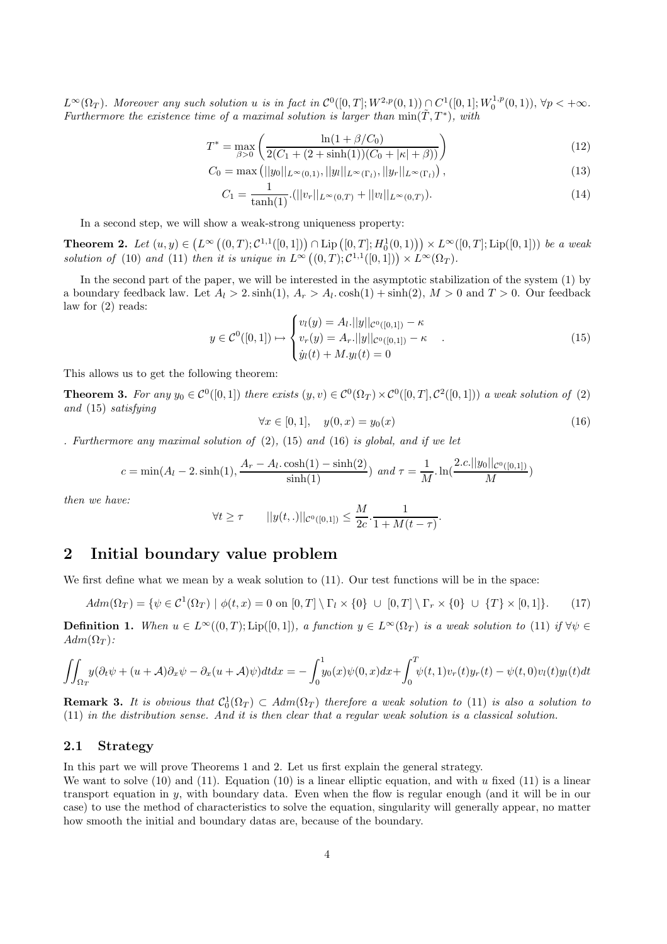$L^{\infty}(\Omega_T)$ . Moreover any such solution u is in fact in  $\mathcal{C}^0([0,T];W^{2,p}(0,1)) \cap C^1([0,1];W_0^{1,p}(0,1)), \forall p < +\infty$ . Furthermore the existence time of a maximal solution is larger than  $min(\tilde{T}, T^*)$ , with

$$
T^* = \max_{\beta > 0} \left( \frac{\ln(1 + \beta/C_0)}{2(C_1 + (2 + \sinh(1))(C_0 + |\kappa| + \beta))} \right)
$$
(12)

$$
C_0 = \max\left(||y_0||_{L^{\infty}(0,1)}, ||y_l||_{L^{\infty}(\Gamma_l)}, ||y_r||_{L^{\infty}(\Gamma_l)}\right),\tag{13}
$$

$$
C_1 = \frac{1}{\tanh(1)} \cdot (||v_r||_{L^{\infty}(0,T)} + ||v_l||_{L^{\infty}(0,T)}). \tag{14}
$$

In a second step, we will show a weak-strong uniqueness property:

**Theorem 2.** Let  $(u, y) \in (L^{\infty}((0, T); C^{1,1}([0, 1])) \cap \text{Lip}([0, T]; H_0^1(0, 1))) \times L^{\infty}([0, T]; \text{Lip}([0, 1]))$  be a weak solution of (10) and (11) then it is unique in  $L^{\infty}((0,T); \mathcal{C}^{1,1}([0,1])) \times L^{\infty}(\Omega_T)$ .

In the second part of the paper, we will be interested in the asymptotic stabilization of the system (1) by a boundary feedback law. Let  $A_l > 2$ . sinh $(1), A_r > A_l$ . cosh $(1) + \sinh(2), M > 0$  and  $T > 0$ . Our feedback law for (2) reads:

$$
y \in C^{0}([0,1]) \mapsto \begin{cases} v_{l}(y) = A_{l}.||y||_{C^{0}([0,1])} - \kappa \\ v_{r}(y) = A_{r}.||y||_{C^{0}([0,1])} - \kappa \\ \dot{y}_{l}(t) + M.y_{l}(t) = 0 \end{cases} (15)
$$

This allows us to get the following theorem:

**Theorem 3.** For any  $y_0 \in C^0([0,1])$  there exists  $(y, v) \in C^0(\Omega_T) \times C^0([0,T], C^2([0,1]))$  a weak solution of (2) and (15) satisfying

$$
\forall x \in [0, 1], \quad y(0, x) = y_0(x) \tag{16}
$$

. Furthermore any maximal solution of  $(2)$ ,  $(15)$  and  $(16)$  is global, and if we let

$$
c = \min(A_l - 2. \sinh(1), \frac{A_r - A_l \cdot \cosh(1) - \sinh(2)}{\sinh(1)}) \text{ and } \tau = \frac{1}{M} \cdot \ln(\frac{2.c.||y_0||_{\mathcal{C}^0([0,1])}}{M})
$$

then we have:

$$
\forall t \geq \tau \qquad ||y(t,.)||_{\mathcal{C}^{0}([0,1])} \leq \frac{M}{2c} \cdot \frac{1}{1 + M(t - \tau)}.
$$

# 2 Initial boundary value problem

We first define what we mean by a weak solution to  $(11)$ . Our test functions will be in the space:

$$
Adm(\Omega_T) = \{ \psi \in C^1(\Omega_T) \mid \phi(t, x) = 0 \text{ on } [0, T] \setminus \Gamma_l \times \{0\} \cup [0, T] \setminus \Gamma_r \times \{0\} \cup \{T\} \times [0, 1] \}. \tag{17}
$$

**Definition 1.** When  $u \in L^{\infty}((0,T);\text{Lip}([0,1]),$  a function  $y \in L^{\infty}(\Omega_T)$  is a weak solution to (11) if  $\forall \psi \in$  $Adm(\Omega_T)$ :

$$
\iint_{\Omega_T} y(\partial_t \psi + (u + \mathcal{A})\partial_x \psi - \partial_x (u + \mathcal{A})\psi) dt dx = -\int_0^1 y_0(x)\psi(0, x) dx + \int_0^T \psi(t, 1)v_r(t)y_r(t) - \psi(t, 0)v_l(t)y_l(t) dt
$$

**Remark 3.** It is obvious that  $C_0^1(\Omega_T) \subset Adm(\Omega_T)$  therefore a weak solution to (11) is also a solution to (11) in the distribution sense. And it is then clear that a regular weak solution is a classical solution.

## 2.1 Strategy

In this part we will prove Theorems 1 and 2. Let us first explain the general strategy.

We want to solve  $(10)$  and  $(11)$ . Equation  $(10)$  is a linear elliptic equation, and with u fixed  $(11)$  is a linear transport equation in y, with boundary data. Even when the flow is regular enough (and it will be in our case) to use the method of characteristics to solve the equation, singularity will generally appear, no matter how smooth the initial and boundary datas are, because of the boundary.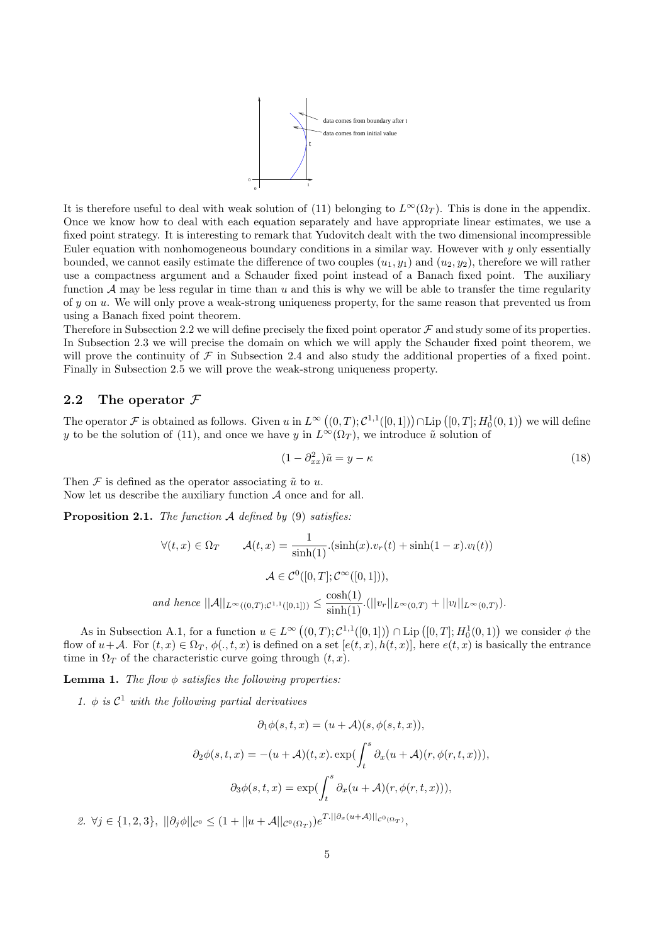

It is therefore useful to deal with weak solution of (11) belonging to  $L^{\infty}(\Omega_T)$ . This is done in the appendix. Once we know how to deal with each equation separately and have appropriate linear estimates, we use a fixed point strategy. It is interesting to remark that Yudovitch dealt with the two dimensional incompressible Euler equation with nonhomogeneous boundary conditions in a similar way. However with  $\gamma$  only essentially bounded, we cannot easily estimate the difference of two couples  $(u_1, y_1)$  and  $(u_2, y_2)$ , therefore we will rather use a compactness argument and a Schauder fixed point instead of a Banach fixed point. The auxiliary function  $\mathcal A$  may be less regular in time than u and this is why we will be able to transfer the time regularity of  $y$  on  $u$ . We will only prove a weak-strong uniqueness property, for the same reason that prevented us from using a Banach fixed point theorem.

Therefore in Subsection 2.2 we will define precisely the fixed point operator  $\mathcal F$  and study some of its properties. In Subsection 2.3 we will precise the domain on which we will apply the Schauder fixed point theorem, we will prove the continuity of  $\mathcal F$  in Subsection 2.4 and also study the additional properties of a fixed point. Finally in Subsection 2.5 we will prove the weak-strong uniqueness property.

## 2.2 The operator  $\mathcal F$

The operator  $\mathcal F$  is obtained as follows. Given  $u$  in  $L^\infty\left((0,T); \mathcal C^{1,1}([0,1])\right) \cap \text{Lip}\left([0,T]; H^1_0(0,1)\right)$  we will define y to be the solution of (11), and once we have y in  $L^{\infty}(\Omega_T)$ , we introduce  $\tilde{u}$  solution of

$$
(1 - \partial_{xx}^2)\tilde{u} = y - \kappa \tag{18}
$$

Then  $\mathcal F$  is defined as the operator associating  $\tilde u$  to u. Now let us describe the auxiliary function  $A$  once and for all.

**Proposition 2.1.** The function  $\mathcal A$  defined by (9) satisfies:

$$
\forall (t, x) \in \Omega_T \qquad \mathcal{A}(t, x) = \frac{1}{\sinh(1)} \cdot (\sinh(x) \cdot v_r(t) + \sinh(1 - x) \cdot v_l(t))
$$

$$
\mathcal{A} \in \mathcal{C}^0([0, T]; \mathcal{C}^\infty([0, 1])),
$$
  
and hence  $||\mathcal{A}||_{L^\infty((0, T); \mathcal{C}^{1,1}([0, 1]))} \le \frac{\cosh(1)}{\sinh(1)} \cdot (||v_r||_{L^\infty(0, T)} + ||v_l||_{L^\infty(0, T)}).$ 

As in Subsection A.1, for a function  $u \in L^{\infty}((0,T); \mathcal{C}^{1,1}([0,1])) \cap \text{Lip}([0,T]; H_0^1(0,1))$  we consider  $\phi$  the flow of  $u+\mathcal{A}$ . For  $(t, x) \in \Omega_T$ ,  $\phi(., t, x)$  is defined on a set  $[e(t, x), h(t, x)]$ , here  $e(t, x)$  is basically the entrance time in  $\Omega_T$  of the characteristic curve going through  $(t, x)$ .

**Lemma 1.** The flow  $\phi$  satisfies the following properties.

1.  $\phi$  is  $C^1$  with the following partial derivatives

$$
\partial_1 \phi(s, t, x) = (u + \mathcal{A})(s, \phi(s, t, x)),
$$

$$
\partial_2 \phi(s, t, x) = -(u + \mathcal{A})(t, x). \exp(\int_t^s \partial_x (u + \mathcal{A})(r, \phi(r, t, x))),
$$

$$
\partial_3 \phi(s, t, x) = \exp(\int_t^s \partial_x (u + \mathcal{A})(r, \phi(r, t, x))),
$$

2.  $\forall j \in \{1,2,3\}, \ ||\partial_j \phi||_{\mathcal{C}^{0}} \leq (1+||u+\mathcal{A}||_{\mathcal{C}^{0}(\Omega_T)})e^{T.||\partial_x(u+\mathcal{A})||_{\mathcal{C}^{0}(\Omega_T)}},$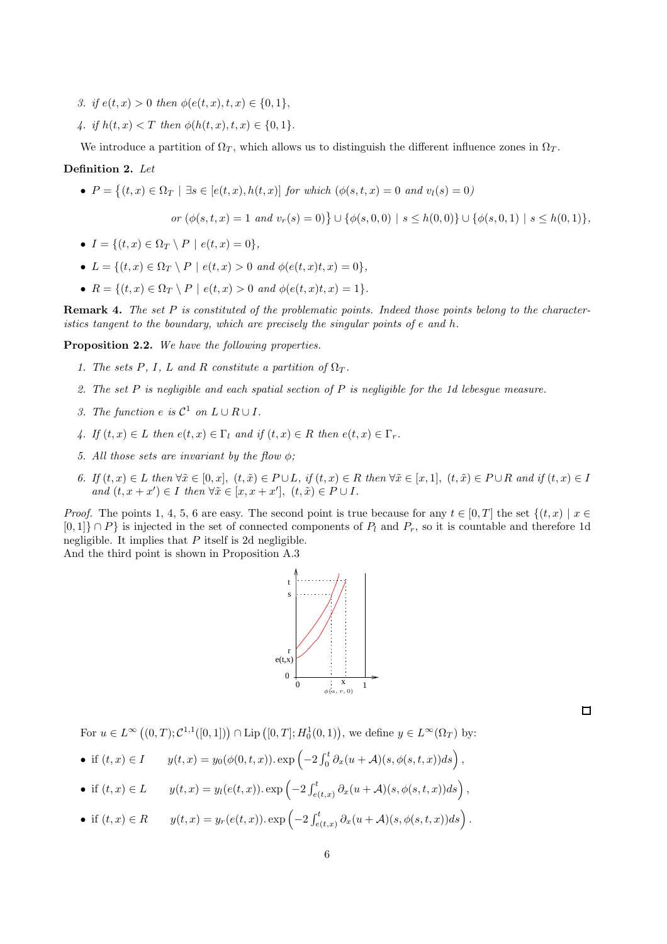- 3. if  $e(t, x) > 0$  then  $\phi(e(t, x), t, x) \in \{0, 1\},$
- 4. if  $h(t, x) < T$  then  $\phi(h(t, x), t, x) \in \{0, 1\}.$

We introduce a partition of  $\Omega_T$ , which allows us to distinguish the different influence zones in  $\Omega_T$ .

## Definition 2. Let

•  $P = \{(t, x) \in \Omega_T \mid \exists s \in [e(t, x), h(t, x)] \text{ for which } (\phi(s, t, x) = 0 \text{ and } v_l(s) = 0)$ 

$$
or \ (\phi(s,t,x) = 1 \ and \ v_r(s) = 0) \} \cup \{\phi(s,0,0) \mid s \leq h(0,0) \} \cup \{\phi(s,0,1) \mid s \leq h(0,1) \},
$$

- $I = \{(t, x) \in \Omega_T \setminus P \mid e(t, x) = 0\},\$
- $L = \{(t, x) \in \Omega_T \setminus P \mid e(t, x) > 0 \text{ and } \phi(e(t, x)t, x) = 0\}.$
- $R = \{(t, x) \in \Omega_T \setminus P \mid e(t, x) > 0 \text{ and } \phi(e(t, x)t, x) = 1\}.$

Remark 4. The set P is constituted of the problematic points. Indeed those points belong to the characteristics tangent to the boundary, which are precisely the singular points of e and h.

Proposition 2.2. We have the following properties.

- 1. The sets P, I, L and R constitute a partition of  $\Omega_T$ .
- 2. The set  $P$  is negligible and each spatial section of  $P$  is negligible for the 1d lebesgue measure.
- 3. The function  $e$  is  $C^1$  on  $L \cup R \cup I$ .
- 4. If  $(t, x) \in L$  then  $e(t, x) \in \Gamma_l$  and if  $(t, x) \in R$  then  $e(t, x) \in \Gamma_r$ .
- 5. All those sets are invariant by the flow  $\phi$ ;
- 6. If  $(t, x) \in L$  then  $\forall \tilde{x} \in [0, x]$ ,  $(t, \tilde{x}) \in P \cup L$ , if  $(t, x) \in R$  then  $\forall \tilde{x} \in [x, 1]$ ,  $(t, \tilde{x}) \in P \cup R$  and if  $(t, x) \in I$ and  $(t, x + x') \in I$  then  $\forall \tilde{x} \in [x, x + x'],$   $(t, \tilde{x}) \in P \cup I$ .

*Proof.* The points 1, 4, 5, 6 are easy. The second point is true because for any  $t \in [0, T]$  the set  $\{(t, x) | x \in$  $[0,1]$   $\cap$  P} is injected in the set of connected components of  $P_l$  and  $P_r$ , so it is countable and therefore 1d negligible. It implies that  $P$  itself is 2d negligible.

And the third point is shown in Proposition A.3



 $\Box$ 

For  $u \in L^{\infty}((0,T); C^{1,1}([0,1])) \cap \text{Lip}([0,T]; H_0^1(0,1)),$  we define  $y \in L^{\infty}(\Omega_T)$  by:

- if  $(t, x) \in I$   $y(t, x) = y_0(\phi(0, t, x)) \exp\left(-2 \int_0^t \partial_x(u + A)(s, \phi(s, t, x)) ds\right)$ ,
- if  $(t, x) \in L$   $y(t, x) = y_l(e(t, x)) \cdot \exp\left(-2 \int_{e(t, x)}^t \partial_x(u + A)(s, \phi(s, t, x)) ds\right)$ ,
- if  $(t, x) \in R$   $y(t, x) = y_r(e(t, x)) \cdot \exp\left(-2 \int_{e(t, x)}^t \partial_x(u + A)(s, \phi(s, t, x)) ds\right)$ .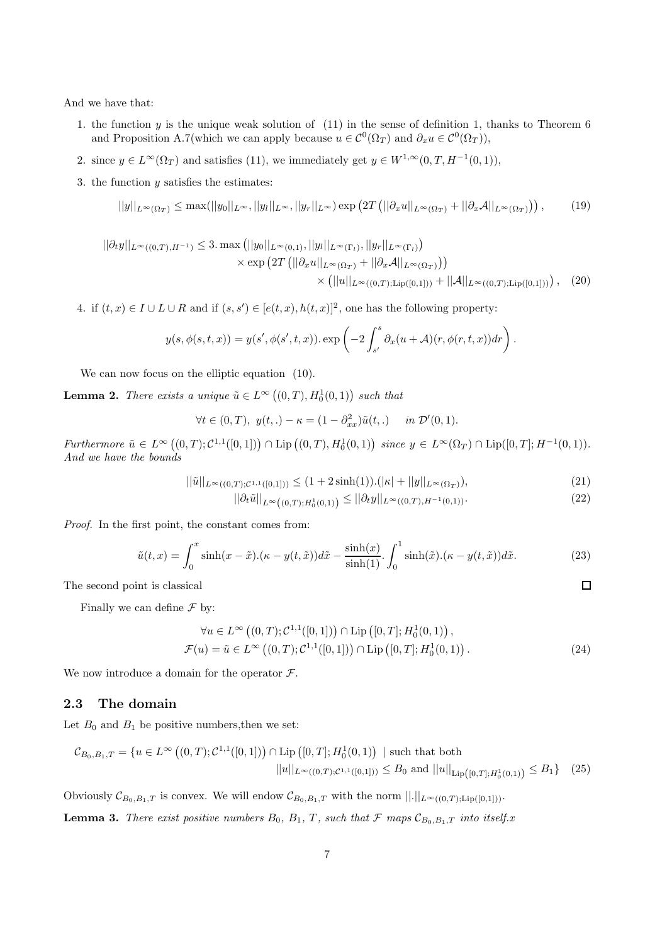And we have that:

- 1. the function y is the unique weak solution of (11) in the sense of definition 1, thanks to Theorem 6 and Proposition A.7(which we can apply because  $u \in C^0(\Omega_T)$  and  $\partial_x u \in C^0(\Omega_T)$ ),
- 2. since  $y \in L^{\infty}(\Omega_T)$  and satisfies (11), we immediately get  $y \in W^{1,\infty}(0,T, H^{-1}(0,1)),$
- 3. the function  $y$  satisfies the estimates:

$$
||y||_{L^{\infty}(\Omega_T)} \leq \max(||y_0||_{L^{\infty}}, ||y_l||_{L^{\infty}}, ||y_r||_{L^{\infty}}) \exp\left(2T\left(||\partial_x u||_{L^{\infty}(\Omega_T)} + ||\partial_x \mathcal{A}||_{L^{\infty}(\Omega_T)}\right)\right),\tag{19}
$$

$$
||\partial_t y||_{L^{\infty}((0,T),H^{-1})} \le 3. \max\left(||y_0||_{L^{\infty}(0,1)}, ||y_l||_{L^{\infty}(\Gamma_l)}, ||y_r||_{L^{\infty}(\Gamma_l)}\right) \times \exp\left(2T\left(||\partial_x u||_{L^{\infty}(\Omega_T)} + ||\partial_x \mathcal{A}||_{L^{\infty}(\Omega_T)}\right)\right) \times \left( ||u||_{L^{\infty}((0,T);\text{Lip}([0,1]))} + ||\mathcal{A}||_{L^{\infty}((0,T); \text{Lip}([0,1]))}\right), (20)
$$

4. if  $(t, x) \in I \cup L \cup R$  and if  $(s, s') \in [e(t, x), h(t, x)]^2$ , one has the following property:

$$
y(s, \phi(s,t,x)) = y(s', \phi(s',t,x)) \cdot \exp\left(-2\int_{s'}^{s} \partial_x(u+\mathcal{A})(r, \phi(r,t,x))dr\right).
$$

We can now focus on the elliptic equation (10).

**Lemma 2.** There exists a unique  $\tilde{u} \in L^{\infty}((0,T), H_0^1(0,1))$  such that

$$
\forall t \in (0, T), \ y(t,.) - \kappa = (1 - \partial_{xx}^2) \tilde{u}(t,.) \quad \text{in } \mathcal{D}'(0, 1).
$$

 $Furthermore \tilde{u} \in L^{\infty}((0,T); \mathcal{C}^{1,1}([0,1])) \cap \text{Lip}((0,T), H_0^1(0,1)) \ \text{since } y \in L^{\infty}(\Omega_T) \cap \text{Lip}([0,T]; H^{-1}(0,1)).$ And we have the bounds

$$
||\tilde{u}||_{L^{\infty}((0,T);C^{1,1}([0,1]))} \leq (1+2\sinh(1)).(|\kappa|+||y||_{L^{\infty}(\Omega_T)}),
$$
\n(21)

$$
||\partial_t \tilde{u}||_{L^{\infty}((0,T);H_0^1(0,1))} \le ||\partial_t y||_{L^{\infty}((0,T),H^{-1}(0,1))}.
$$
\n(22)

 $\Box$ 

Proof. In the first point, the constant comes from:

$$
\tilde{u}(t,x) = \int_0^x \sinh(x - \tilde{x}) \cdot (\kappa - y(t, \tilde{x})) d\tilde{x} - \frac{\sinh(x)}{\sinh(1)} \cdot \int_0^1 \sinh(\tilde{x}) \cdot (\kappa - y(t, \tilde{x})) d\tilde{x}.
$$
 (23)

The second point is classical

Finally we can define  $\mathcal F$  by:

$$
\forall u \in L^{\infty} \left( (0, T); \mathcal{C}^{1,1}([0, 1]) \right) \cap \text{Lip} \left( [0, T]; H_0^1(0, 1) \right), \n\mathcal{F}(u) = \tilde{u} \in L^{\infty} \left( (0, T); \mathcal{C}^{1,1}([0, 1]) \right) \cap \text{Lip} \left( [0, T]; H_0^1(0, 1) \right). \tag{24}
$$

We now introduce a domain for the operator  $\mathcal{F}$ .

#### 2.3 The domain

Let  $B_0$  and  $B_1$  be positive numbers, then we set:

$$
\mathcal{C}_{B_0,B_1,T} = \{ u \in L^{\infty} \left( (0,T); \mathcal{C}^{1,1}([0,1]) \right) \cap \text{Lip} \left( [0,T]; H_0^1(0,1) \right) \mid \text{such that both}
$$

$$
||u||_{L^{\infty}((0,T);\mathcal{C}^{1,1}([0,1]))} \le B_0 \text{ and } ||u||_{\text{Lip}([0,T];H_0^1(0,1))} \le B_1 \} \quad (25)
$$

Obviously  $\mathcal{C}_{B_0,B_1,T}$  is convex. We will endow  $\mathcal{C}_{B_0,B_1,T}$  with the norm  $||.||_{L^{\infty}((0,T);Lip([0,1]))}$ .

**Lemma 3.** There exist positive numbers  $B_0$ ,  $B_1$ , T, such that  $\mathcal{F}$  maps  $\mathcal{C}_{B_0,B_1,T}$  into itself.x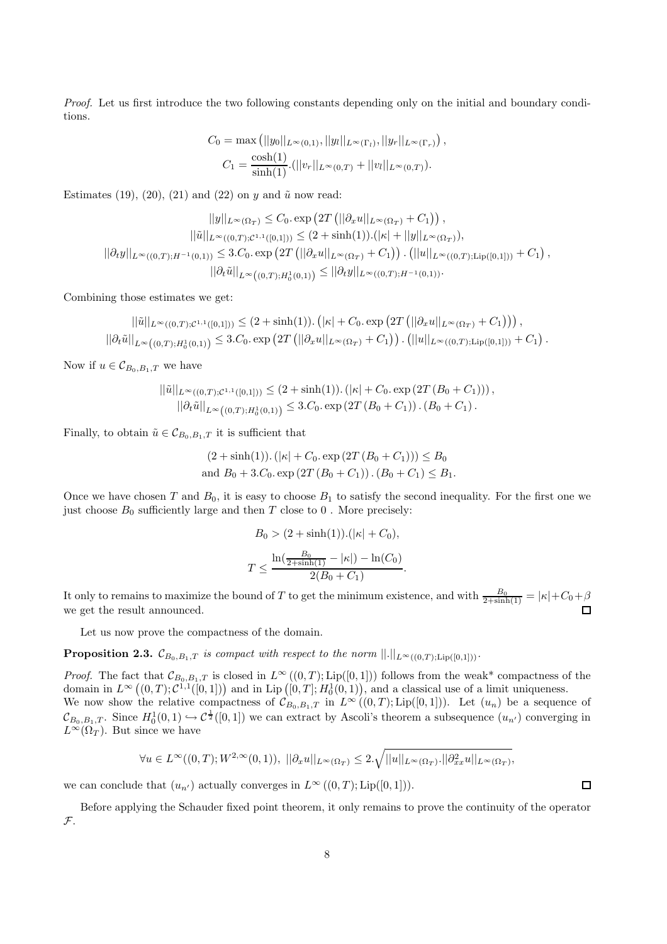Proof. Let us first introduce the two following constants depending only on the initial and boundary conditions.

$$
C_0 = \max\left(||y_0||_{L^{\infty}(0,1)}, ||y_l||_{L^{\infty}(\Gamma_l)}, ||y_r||_{L^{\infty}(\Gamma_r)}\right),
$$
  

$$
C_1 = \frac{\cosh(1)}{\sinh(1)} \cdot (||v_r||_{L^{\infty}(0,T)} + ||v_l||_{L^{\infty}(0,T)}).
$$

Estimates (19), (20), (21) and (22) on y and  $\tilde{u}$  now read:

$$
||y||_{L^{\infty}(\Omega_T)} \leq C_0. \exp\left(2T\left(||\partial_x u||_{L^{\infty}(\Omega_T)} + C_1\right)\right),
$$
  

$$
||\tilde{u}||_{L^{\infty}((0,T);C^{1,1}([0,1]))} \leq (2 + \sinh(1)).(|\kappa| + ||y||_{L^{\infty}(\Omega_T)}),
$$
  

$$
||\partial_t y||_{L^{\infty}((0,T);H^{-1}(0,1))} \leq 3.C_0. \exp\left(2T\left(||\partial_x u||_{L^{\infty}(\Omega_T)} + C_1\right)\right). (||u||_{L^{\infty}((0,T);Lip([0,1]))} + C_1),
$$
  

$$
||\partial_t \tilde{u}||_{L^{\infty}((0,T);H_0^1(0,1))} \leq ||\partial_t y||_{L^{\infty}((0,T);H^{-1}(0,1))}.
$$

Combining those estimates we get:

$$
||\tilde{u}||_{L^{\infty}((0,T);C^{1,1}([0,1]))} \leq (2+\sinh(1)). \left( |\kappa| + C_0.\exp\left(2T\left( ||\partial_x u||_{L^{\infty}(\Omega_T)} + C_1\right)\right) \right),
$$
  

$$
||\partial_t \tilde{u}||_{L^{\infty}((0,T);H_0^1(0,1))} \leq 3.C_0.\exp\left(2T\left( ||\partial_x u||_{L^{\infty}(\Omega_T)} + C_1\right) \right). \left( ||u||_{L^{\infty}((0,T);Lip([0,1]))} + C_1\right).
$$

Now if  $u \in \mathcal{C}_{B_0,B_1,T}$  we have

$$
\begin{aligned} ||\tilde{u}||_{L^{\infty}((0,T); \mathcal{C}^{1,1}([0,1]))} &\leq (2+\sinh(1)).\left(|\kappa|+C_0.\exp\left(2T\left(B_0+C_1\right)\right)\right), \\ ||\partial_t \tilde{u}||_{L^{\infty}\left((0,T); H_0^1(0,1)\right)} &\leq 3.C_0.\exp\left(2T\left(B_0+C_1\right)\right). \left(B_0+C_1\right). \end{aligned}
$$

Finally, to obtain  $\tilde{u} \in \mathcal{C}_{B_0,B_1,T}$  it is sufficient that

$$
(2 + \sinh(1)). (|\kappa| + C_0. \exp(2T (B_0 + C_1))) \le B_0
$$
  
and  $B_0 + 3.C_0. \exp(2T (B_0 + C_1)). (B_0 + C_1) \le B_1.$ 

Once we have chosen T and  $B_0$ , it is easy to choose  $B_1$  to satisfy the second inequality. For the first one we just choose  $B_0$  sufficiently large and then T close to 0. More precisely:

$$
B_0 > (2 + \sinh(1)).(|\kappa| + C_0),
$$
  

$$
T \le \frac{\ln(\frac{B_0}{2 + \sinh(1)} - |\kappa|) - \ln(C_0)}{2(B_0 + C_1)}
$$

.

It only to remains to maximize the bound of T to get the minimum existence, and with  $\frac{B_0}{2+\sinh(1)} = |\kappa| + C_0 + \beta$ we get the result announced.

Let us now prove the compactness of the domain.

**Proposition 2.3.**  $\mathcal{C}_{B_0,B_1,T}$  is compact with respect to the norm  $||.||_{L^{\infty}((0,T);Lip([0,1]))}$ .

*Proof.* The fact that  $\mathcal{C}_{B_0,B_1,T}$  is closed in  $L^{\infty}((0,T);\text{Lip}([0,1]))$  follows from the weak\* compactness of the domain in  $L^{\infty}((0,T); \mathcal{C}^{1,1}([0,1])$  and in Lip  $([0,T]; H_0^1(0,1))$ , and a classical use of a limit uniqueness. We now show the relative compactness of  $\mathcal{C}_{B_0,B_1,T}$  in  $L^{\infty}((0,T);\text{Lip}([0,1]))$ . Let  $(u_n)$  be a sequence of  $\mathcal{C}_{B_0,B_1,T}$ . Since  $H_0^1(0,1) \hookrightarrow \mathcal{C}^{\frac{1}{2}}([0,1])$  we can extract by Ascoli's theorem a subsequence  $(u_{n'})$  converging in  $L^{\infty}(\Omega_T)$ . But since we have

$$
\forall u \in L^{\infty}((0,T);W^{2,\infty}(0,1)), \ ||\partial_x u||_{L^{\infty}(\Omega_T)} \leq 2.\sqrt{||u||_{L^{\infty}(\Omega_T)}\cdot ||\partial_{xx}^2 u||_{L^{\infty}(\Omega_T)}},
$$

we can conclude that  $(u_{n'})$  actually converges in  $L^{\infty}((0,T);\text{Lip}([0,1])).$ 

Before applying the Schauder fixed point theorem, it only remains to prove the continuity of the operator  $\mathcal{F}.$ 

 $\Box$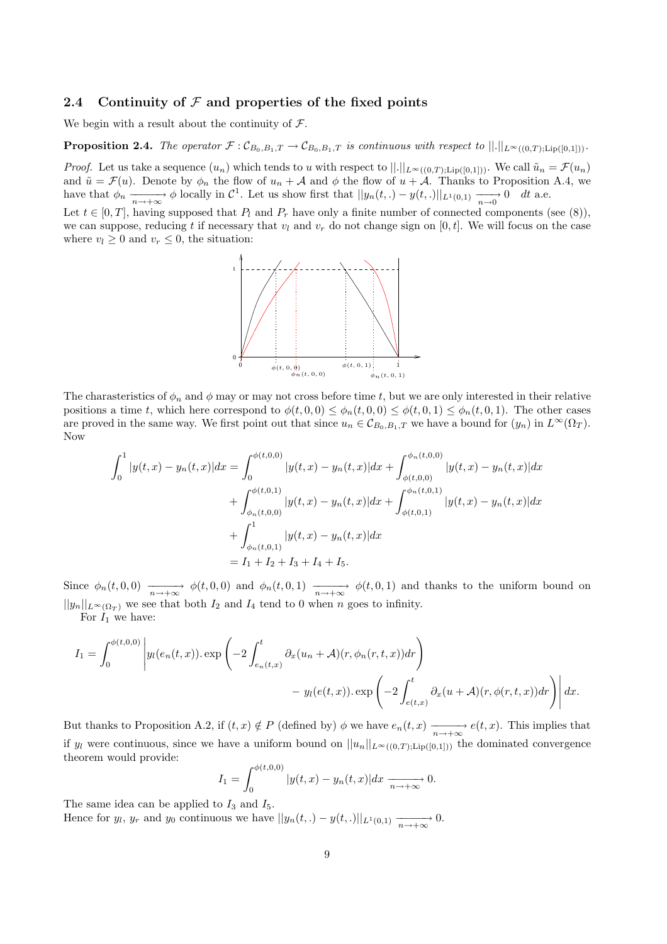## 2.4 Continuity of  $\mathcal F$  and properties of the fixed points

We begin with a result about the continuity of  $\mathcal{F}$ .

**Proposition 2.4.** The operator  $\mathcal{F} : \mathcal{C}_{B_0,B_1,T} \to \mathcal{C}_{B_0,B_1,T}$  is continuous with respect to  $||.||_{L^{\infty}((0,T): \text{Lip}([0,1]))}$ .

*Proof.* Let us take a sequence  $(u_n)$  which tends to u with respect to  $||.||_{L^{\infty}((0,T); Lip([0,1]))}$ . We call  $\tilde{u}_n = \mathcal{F}(u_n)$ and  $\tilde{u} = \mathcal{F}(u)$ . Denote by  $\phi_n$  the flow of  $u_n + \mathcal{A}$  and  $\phi$  the flow of  $u + \mathcal{A}$ . Thanks to Proposition A.4, we have that  $\phi_n \xrightarrow[n \to +\infty]{} \phi$  locally in  $\mathcal{C}^1$ . Let us show first that  $||y_n(t,.) - y(t,.)||_{L^1(0,1)} \xrightarrow[n \to 0]{} 0 \quad dt$  a.e.

Let  $t \in [0, T]$ , having supposed that  $P_l$  and  $P_r$  have only a finite number of connected components (see (8)), we can suppose, reducing t if necessary that  $v_l$  and  $v_r$  do not change sign on [0, t]. We will focus on the case where  $v_l \geq 0$  and  $v_r \leq 0$ , the situation:



The charasteristics of  $\phi_n$  and  $\phi$  may or may not cross before time t, but we are only interested in their relative positions a time t, which here correspond to  $\phi(t, 0, 0) \leq \phi_n(t, 0, 0) \leq \phi(t, 0, 1) \leq \phi_n(t, 0, 1)$ . The other cases are proved in the same way. We first point out that since  $u_n \in \mathcal{C}_{B_0,B_1,T}$  we have a bound for  $(y_n)$  in  $L^{\infty}(\Omega_T)$ . Now

$$
\int_{0}^{1} |y(t,x) - y_n(t,x)| dx = \int_{0}^{\phi(t,0,0)} |y(t,x) - y_n(t,x)| dx + \int_{\phi(t,0,0)}^{\phi_n(t,0,0)} |y(t,x) - y_n(t,x)| dx
$$

$$
+ \int_{\phi_n(t,0,0)}^{\phi(t,0,1)} |y(t,x) - y_n(t,x)| dx + \int_{\phi(t,0,1)}^{\phi_n(t,0,1)} |y(t,x) - y_n(t,x)| dx
$$

$$
+ \int_{\phi_n(t,0,1)}^1 |y(t,x) - y_n(t,x)| dx
$$

$$
= I_1 + I_2 + I_3 + I_4 + I_5.
$$

Since  $\phi_n(t,0,0) \longrightarrow_{n \to +\infty} \phi(t,0,0)$  and  $\phi_n(t,0,1) \longrightarrow_{n \to +\infty} \phi(t,0,1)$  and thanks to the uniform bound on  $||y_n||_{L^{\infty}(\Omega_T)}$  we see that both  $I_2$  and  $I_4$  tend to 0 when n goes to infinity.

For  $I_1$  we have:

$$
I_1 = \int_0^{\phi(t,0,0)} \left| y_l(e_n(t,x)) \cdot \exp\left(-2 \int_{e_n(t,x)}^t \partial_x(u_n+\mathcal{A})(r,\phi_n(r,t,x)) dr\right) - y_l(e(t,x)) \cdot \exp\left(-2 \int_{e(t,x)}^t \partial_x(u+\mathcal{A})(r,\phi(r,t,x)) dr\right) \right| dx.
$$

But thanks to Proposition A.2, if  $(t, x) \notin P$  (defined by)  $\phi$  we have  $e_n(t, x) \xrightarrow[n \to +\infty]{} e(t, x)$ . This implies that if  $y_l$  were continuous, since we have a uniform bound on  $||u_n||_{L^{\infty}((0,T); Lip([0,1]))}$  the dominated convergence theorem would provide:

$$
I_1 = \int_0^{\phi(t,0,0)} |y(t,x) - y_n(t,x)| dx \xrightarrow[n \to +\infty]{} 0.
$$

The same idea can be applied to  $I_3$  and  $I_5$ .

Hence for  $y_l$ ,  $y_r$  and  $y_0$  continuous we have  $||y_n(t,.) - y(t,.)||_{L^1(0,1)} \xrightarrow[n \to +\infty]{} 0.$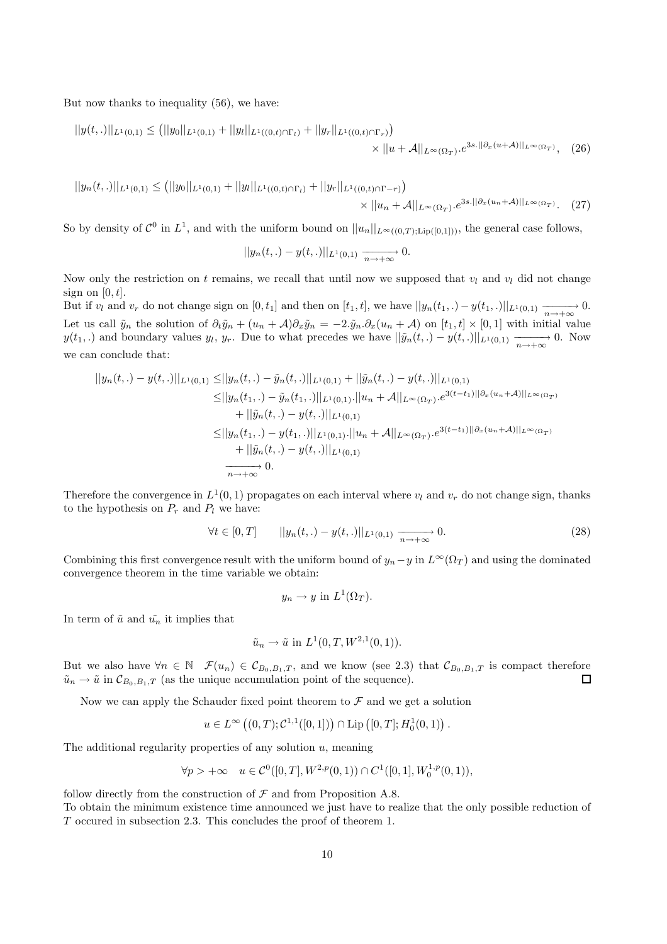But now thanks to inequality (56), we have:

$$
||y(t,.)||_{L^{1}(0,1)} \leq (||y_{0}||_{L^{1}(0,1)} + ||y_{l}||_{L^{1}((0,t)\cap\Gamma_{l})} + ||y_{r}||_{L^{1}((0,t)\cap\Gamma_{r})}) \times ||u + \mathcal{A}||_{L^{\infty}(\Omega_{T})}e^{3s.||\partial_{x}(u+\mathcal{A})||_{L^{\infty}(\Omega_{T})}}, \quad (26)
$$

$$
||y_n(t,.)||_{L^1(0,1)} \le (||y_0||_{L^1(0,1)} + ||y_l||_{L^1((0,t)\cap\Gamma_l)} + ||y_r||_{L^1((0,t)\cap\Gamma-r)}) \times ||u_n + \mathcal{A}||_{L^{\infty}(\Omega_T)} \cdot e^{3s.||\partial_x(u_n + \mathcal{A})||_{L^{\infty}(\Omega_T)}}.
$$
 (27)

So by density of  $\mathcal{C}^0$  in  $L^1$ , and with the uniform bound on  $||u_n||_{L^{\infty}((0,T); Lip([0,1]))}$ , the general case follows,

$$
||y_n(t,.) - y(t,.)||_{L^1(0,1)} \xrightarrow[n \to +\infty]{} 0.
$$

Now only the restriction on t remains, we recall that until now we supposed that  $v_l$  and  $v_l$  did not change sign on  $[0, t]$ .

But if  $v_l$  and  $v_r$  do not change sign on  $[0, t_1]$  and then on  $[t_1, t]$ , we have  $||y_n(t_1, .) - y(t_1, .)||_{L^1(0,1)} \xrightarrow[n \to +\infty]{} 0$ . Let us call  $\tilde{y}_n$  the solution of  $\partial_t \tilde{y}_n + (u_n + A)\partial_x \tilde{y}_n = -2.\tilde{y}_n.\partial_x(u_n + A)$  on  $[t_1, t] \times [0, 1]$  with initial value  $y(t_1,.)$  and boundary values  $y_l, y_r$ . Due to what precedes we have  $||\tilde{y}_n(t,.) - y(t,.)||_{L^1(0,1)} \xrightarrow[n \to +\infty]{} 0$ . Now we can conclude that:

$$
||y_n(t,.) - y(t,.)||_{L^1(0,1)} \le ||y_n(t,.) - \tilde{y}_n(t,.)||_{L^1(0,1)} + ||\tilde{y}_n(t,.) - y(t,.)||_{L^1(0,1)}\le ||y_n(t_1,.) - \tilde{y}_n(t_1,.)||_{L^1(0,1)} \cdot ||u_n + A||_{L^{\infty}(\Omega_T)} \cdot e^{3(t-t_1)||\partial_x(u_n+A)||_{L^{\infty}(\Omega_T)}+ ||\tilde{y}_n(t,.) - y(t,.)||_{L^1(0,1)}\le ||y_n(t_1,.) - y(t_1,.)||_{L^1(0,1)} \cdot ||u_n + A||_{L^{\infty}(\Omega_T)} \cdot e^{3(t-t_1)||\partial_x(u_n+A)||_{L^{\infty}(\Omega_T)}+ ||\tilde{y}_n(t,.) - y(t,.)||_{L^1(0,1)}\frac{1}{n \to +\infty} 0.
$$

Therefore the convergence in  $L^1(0,1)$  propagates on each interval where  $v_l$  and  $v_r$  do not change sign, thanks to the hypothesis on  $P_r$  and  $P_l$  we have:

$$
\forall t \in [0, T] \qquad ||y_n(t,.) - y(t,.)||_{L^1(0,1)} \xrightarrow[n \to +\infty]{} 0. \tag{28}
$$

Combining this first convergence result with the uniform bound of  $y_n-y$  in  $L^\infty(\Omega_T)$  and using the dominated convergence theorem in the time variable we obtain:

$$
y_n \to y
$$
 in  $L^1(\Omega_T)$ .

In term of  $\tilde{u}$  and  $\tilde{u}_n$  it implies that

$$
\tilde{u}_n \to \tilde{u}
$$
 in  $L^1(0,T,W^{2,1}(0,1)).$ 

But we also have  $\forall n \in \mathbb{N}$   $\mathcal{F}(u_n) \in \mathcal{C}_{B_0,B_1,T}$ , and we know (see 2.3) that  $\mathcal{C}_{B_0,B_1,T}$  is compact therefore  $\tilde{u}_n \to \tilde{u}$  in  $\mathcal{C}_{B_0,B_1,T}$  (as the unique accumulation point of the sequence).  $\tilde{u}_n \to \tilde{u}$  in  $\mathcal{C}_{B_0,B_1,T}$  (as the unique accumulation point of the sequence).

Now we can apply the Schauder fixed point theorem to  $\mathcal F$  and we get a solution

 $u \in L^{\infty} ((0,T); \mathcal{C}^{1,1}([0,1])) \cap \text{Lip} ([0,T]; H_0^1(0,1))$ .

The additional regularity properties of any solution  $u$ , meaning

$$
\forall p > +\infty \quad u \in C^0([0, T], W^{2, p}(0, 1)) \cap C^1([0, 1], W_0^{1, p}(0, 1)),
$$

follow directly from the construction of  $\mathcal F$  and from Proposition A.8.

To obtain the minimum existence time announced we just have to realize that the only possible reduction of T occured in subsection 2.3. This concludes the proof of theorem 1.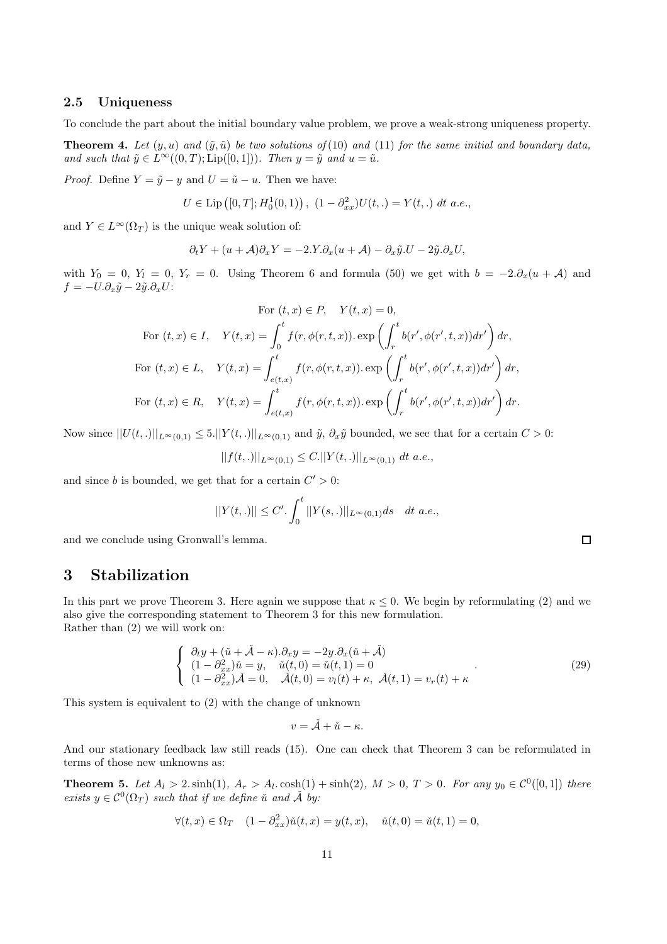## 2.5 Uniqueness

To conclude the part about the initial boundary value problem, we prove a weak-strong uniqueness property.

**Theorem 4.** Let  $(y, u)$  and  $(\tilde{y}, \tilde{u})$  be two solutions of (10) and (11) for the same initial and boundary data, and such that  $\tilde{y} \in L^{\infty}((0,T);\text{Lip}([0,1]))$ . Then  $y = \tilde{y}$  and  $u = \tilde{u}$ .

*Proof.* Define  $Y = \tilde{y} - y$  and  $U = \tilde{u} - u$ . Then we have:

$$
U \in \text{Lip}\left([0,T]; H_0^1(0,1)\right), \ (1 - \partial_{xx}^2)U(t,.) = Y(t,.) \ dt \ a.e.,
$$

and  $Y \in L^{\infty}(\Omega_T)$  is the unique weak solution of:

$$
\partial_t Y + (u + \mathcal{A}) \partial_x Y = -2 \mathcal{A} \mathcal{A} \partial_x (u + \mathcal{A}) - \partial_x \tilde{y} \mathcal{A} U - 2 \tilde{y} \mathcal{A} \partial_x U,
$$

with  $Y_0 = 0$ ,  $Y_l = 0$ ,  $Y_r = 0$ . Using Theorem 6 and formula (50) we get with  $b = -2.\partial_x(u + A)$  and  $f = -U.\partial_x \tilde{y} - 2\tilde{y}.\partial_x U$ :

For 
$$
(t, x) \in P
$$
,  $Y(t, x) = 0$ ,  
\nFor  $(t, x) \in I$ ,  $Y(t, x) = \int_0^t f(r, \phi(r, t, x)) \cdot \exp\left(\int_r^t b(r', \phi(r', t, x)) dr'\right) dr$ ,  
\nFor  $(t, x) \in L$ ,  $Y(t, x) = \int_{e(t, x)}^t f(r, \phi(r, t, x)) \cdot \exp\left(\int_r^t b(r', \phi(r', t, x)) dr'\right) dr$ ,  
\nFor  $(t, x) \in R$ ,  $Y(t, x) = \int_{e(t, x)}^t f(r, \phi(r, t, x)) \cdot \exp\left(\int_r^t b(r', \phi(r', t, x)) dr'\right) dr$ .

Now since  $||U(t,.)||_{L^{\infty}(0,1)} \leq 5.||Y(t,.)||_{L^{\infty}(0,1)}$  and  $\tilde{y}, \partial_x \tilde{y}$  bounded, we see that for a certain  $C > 0$ :

$$
||f(t,.)||_{L^{\infty}(0,1)} \leq C.||Y(t,.)||_{L^{\infty}(0,1)} dt a.e.,
$$

and since b is bounded, we get that for a certain  $C' > 0$ :

$$
||Y(t,.)|| \leq C'. \int_0^t ||Y(s,.)||_{L^{\infty}(0,1)} ds \quad dt \ a.e.,
$$

and we conclude using Gronwall's lemma.

# 3 Stabilization

In this part we prove Theorem 3. Here again we suppose that  $\kappa \leq 0$ . We begin by reformulating (2) and we also give the corresponding statement to Theorem 3 for this new formulation. Rather than (2) we will work on:

$$
\begin{cases}\n\partial_t y + (\check{u} + \check{A} - \kappa) \cdot \partial_x y = -2y \cdot \partial_x (\check{u} + \check{A}) \\
(1 - \partial_{xx}^2) \check{u} = y, \quad \check{u}(t, 0) = \check{u}(t, 1) = 0 \\
(1 - \partial_{xx}^2) \check{A} = 0, \quad \check{A}(t, 0) = v_l(t) + \kappa, \quad \check{A}(t, 1) = v_r(t) + \kappa\n\end{cases} (29)
$$

This system is equivalent to (2) with the change of unknown

$$
v=\check{\mathcal{A}}+\check{u}-\kappa.
$$

And our stationary feedback law still reads (15). One can check that Theorem 3 can be reformulated in terms of those new unknowns as:

**Theorem 5.** Let  $A_l > 2$ .  $\sinh(1)$ ,  $A_r > A_l$ .  $\cosh(1) + \sinh(2)$ ,  $M > 0$ ,  $T > 0$ . For any  $y_0 \in C^0([0,1])$  there exists  $y \in C^0(\Omega_T)$  such that if we define ǔ and  $\check{A}$  by:

$$
\forall (t, x) \in \Omega_T \quad (1 - \partial_{xx}^2) \check{u}(t, x) = y(t, x), \quad \check{u}(t, 0) = \check{u}(t, 1) = 0,
$$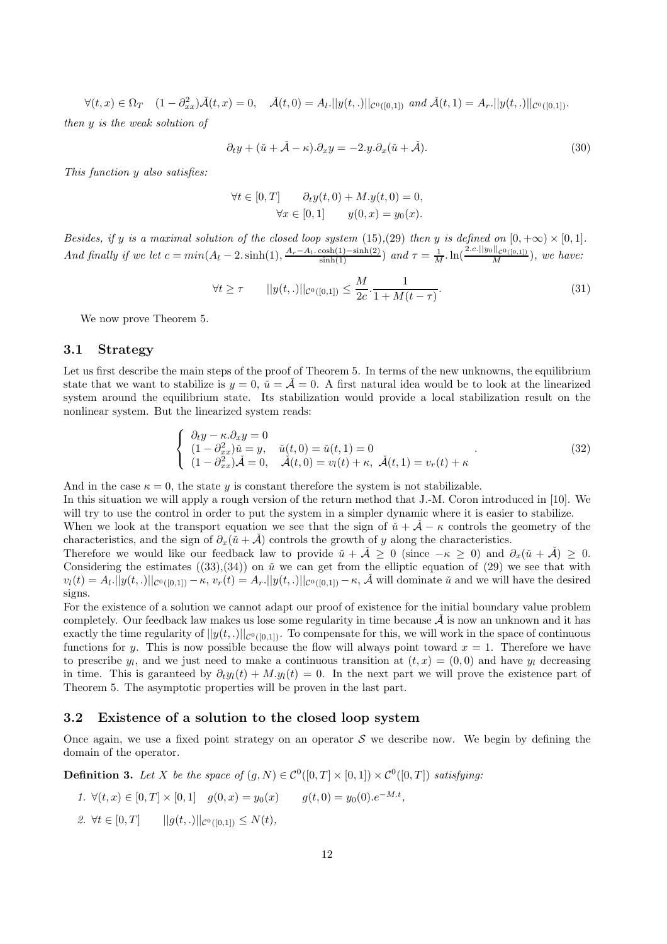$\forall (t, x) \in \Omega_T \quad (1 - \partial_{xx}^2) \check{A}(t, x) = 0, \quad \check{A}(t, 0) = A_t. ||y(t, .)||_{\mathcal{C}^0([0, 1])} \text{ and } \check{A}(t, 1) = A_r. ||y(t, .)||_{\mathcal{C}^0([0, 1])}.$ then y is the weak solution of

$$
\partial_t y + (\check{u} + \check{A} - \kappa) \cdot \partial_x y = -2 \cdot y \cdot \partial_x (\check{u} + \check{A}). \tag{30}
$$

This function y also satisfies:

$$
\forall t \in [0, T] \qquad \partial_t y(t, 0) + M \cdot y(t, 0) = 0,
$$
  

$$
\forall x \in [0, 1] \qquad y(0, x) = y_0(x).
$$

Besides, if y is a maximal solution of the closed loop system (15),(29) then y is defined on  $[0, +\infty) \times [0, 1]$ . And finally if we let  $c = min(A_l - 2. \sinh(1), \frac{A_r - A_l \cdot \cosh(1) - \sinh(2)}{\sinh(1)})$  and  $\tau = \frac{1}{M} \cdot \ln(\frac{2.c.||y_0||_{\mathcal{C}^0([0,1])}}{M})$ , we have:

$$
\forall t \ge \tau \qquad ||y(t, .)||_{\mathcal{C}^{0}([0, 1])} \le \frac{M}{2c} \cdot \frac{1}{1 + M(t - \tau)}.
$$
\n(31)

We now prove Theorem 5.

## 3.1 Strategy

Let us first describe the main steps of the proof of Theorem 5. In terms of the new unknowns, the equilibrium state that we want to stabilize is  $y = 0$ ,  $\check{u} = \mathcal{A} = 0$ . A first natural idea would be to look at the linearized system around the equilibrium state. Its stabilization would provide a local stabilization result on the nonlinear system. But the linearized system reads:

$$
\begin{cases}\n\partial_t y - \kappa \cdot \partial_x y = 0 \\
(1 - \partial_{xx}^2)\check{u} = y, \quad \check{u}(t, 0) = \check{u}(t, 1) = 0 \\
(1 - \partial_{xx}^2)\check{A} = 0, \quad \check{A}(t, 0) = v_l(t) + \kappa, \quad \check{A}(t, 1) = v_r(t) + \kappa\n\end{cases} (32)
$$

And in the case  $\kappa = 0$ , the state y is constant therefore the system is not stabilizable.

In this situation we will apply a rough version of the return method that J.-M. Coron introduced in [10]. We will try to use the control in order to put the system in a simpler dynamic where it is easier to stabilize.

When we look at the transport equation we see that the sign of  $\tilde{u} + \tilde{A} - \kappa$  controls the geometry of the characteristics, and the sign of  $\partial_x(\tilde{u} + A)$  controls the growth of y along the characteristics.

Therefore we would like our feedback law to provide  $\check{u} + \check{A} \geq 0$  (since  $-\kappa \geq 0$ ) and  $\partial_x(\check{u} + \check{A}) \geq 0$ . Considering the estimates  $((33),(34))$  on  $\check{u}$  we can get from the elliptic equation of (29) we see that with  $v_l(t) = A_l \cdot ||y(t,.)||_{\mathcal{C}^0([0,1])} - \kappa, v_r(t) = A_r \cdot ||y(t,.)||_{\mathcal{C}^0([0,1])} - \kappa, \tilde{\mathcal{A}}$  will dominate  $\tilde{u}$  and we will have the desired signs.

For the existence of a solution we cannot adapt our proof of existence for the initial boundary value problem completely. Our feedback law makes us lose some regularity in time because  $\check{\mathcal{A}}$  is now an unknown and it has exactly the time regularity of  $||y(t,.)||_{\mathcal{C}^0([0,1])}$ . To compensate for this, we will work in the space of continuous functions for y. This is now possible because the flow will always point toward  $x = 1$ . Therefore we have to prescribe  $y_l$ , and we just need to make a continuous transition at  $(t, x) = (0, 0)$  and have  $y_l$  decreasing in time. This is garanteed by  $\partial_t y_l(t) + M_y_l(t) = 0$ . In the next part we will prove the existence part of Theorem 5. The asymptotic properties will be proven in the last part.

#### 3.2 Existence of a solution to the closed loop system

Once again, we use a fixed point strategy on an operator  $S$  we describe now. We begin by defining the domain of the operator.

**Definition 3.** Let X be the space of  $(g, N) \in C^0([0, T] \times [0, 1]) \times C^0([0, T])$  satisfying:

1. 
$$
\forall (t, x) \in [0, T] \times [0, 1]
$$
  $g(0, x) = y_0(x)$   $g(t, 0) = y_0(0).e^{-M \cdot t}$ ,

2.  $\forall t \in [0, T]$   $||g(t, .)||_{\mathcal{C}^{0}([0, 1])} \leq N(t),$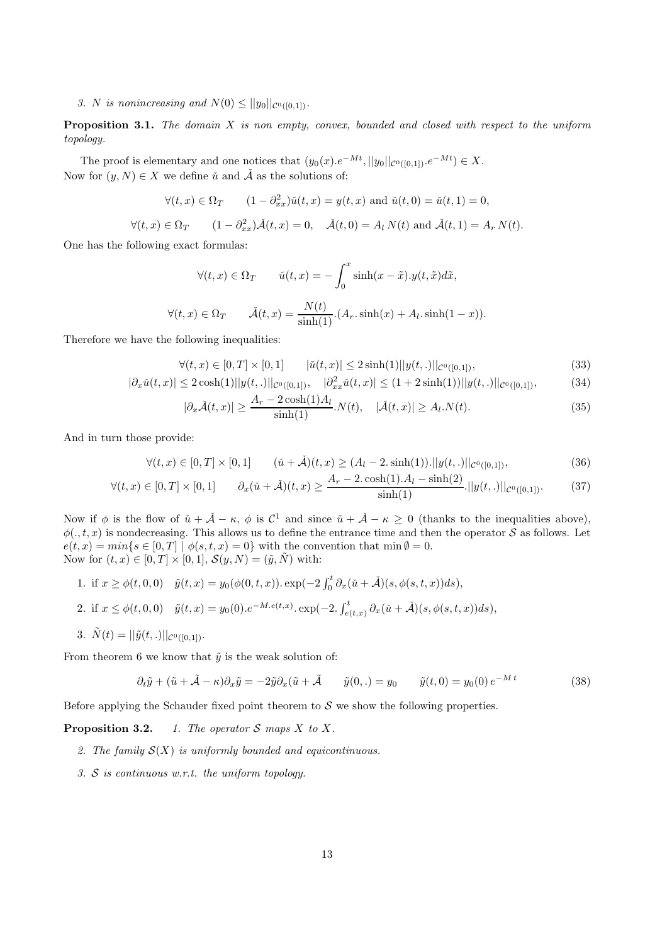3. N is nonincreasing and  $N(0) \leq ||y_0||_{\mathcal{C}^0([0,1])}$ .

**Proposition 3.1.** The domain  $X$  is non empty, convex, bounded and closed with respect to the uniform topology.

The proof is elementary and one notices that  $(y_0(x).e^{-Mt}, ||y_0||_{\mathcal{C}^0([0,1])}.e^{-Mt}) \in X$ . Now for  $(y, N) \in X$  we define  $\check{u}$  and  $\check{A}$  as the solutions of:

$$
\forall (t, x) \in \Omega_T \qquad (1 - \partial_{xx}^2) \check{u}(t, x) = y(t, x) \text{ and } \check{u}(t, 0) = \check{u}(t, 1) = 0,
$$

$$
\forall (t, x) \in \Omega_T \qquad (1 - \partial_{xx}^2) \check{\mathcal{A}}(t, x) = 0, \quad \check{\mathcal{A}}(t, 0) = A_l N(t) \text{ and } \check{\mathcal{A}}(t, 1) = A_r N(t).
$$

One has the following exact formulas:

$$
\forall (t, x) \in \Omega_T \qquad \check{u}(t, x) = -\int_0^x \sinh(x - \tilde{x}).y(t, \tilde{x})d\tilde{x},
$$

$$
\forall (t, x) \in \Omega_T \qquad \check{\mathcal{A}}(t, x) = \frac{N(t)}{\sinh(1)}.(A_r. \sinh(x) + A_l. \sinh(1 - x)).
$$

Therefore we have the following inequalities:

$$
\forall (t, x) \in [0, T] \times [0, 1] \qquad |\check{u}(t, x)| \le 2 \sinh(1) ||y(t, .)||_{\mathcal{C}^{0}([0, 1])},
$$
\n(33)

$$
|\partial_x \check{u}(t,x)| \le 2\cosh(1)||y(t,.)||_{\mathcal{C}^0([0,1])}, \quad |\partial_{xx}^2 \check{u}(t,x)| \le (1+2\sinh(1))||y(t,.)||_{\mathcal{C}^0([0,1])},\tag{34}
$$

$$
|\partial_x \check{\mathcal{A}}(t,x)| \ge \frac{A_r - 2\cosh(1)A_l}{\sinh(1)} N(t), \quad |\check{\mathcal{A}}(t,x)| \ge A_l N(t). \tag{35}
$$

And in turn those provide:

$$
\forall (t, x) \in [0, T] \times [0, 1] \qquad (\check{u} + \check{A})(t, x) \ge (A_t - 2 \sinh(1)) \cdot ||y(t, .)||_{\mathcal{C}^0([0, 1])},
$$
\n(36)

$$
\forall (t, x) \in [0, T] \times [0, 1] \qquad \partial_x(\check{u} + \check{A})(t, x) \ge \frac{A_r - 2 \cosh(1) \cdot A_l - \sinh(2)}{\sinh(1)} \cdot ||y(t, \cdot)||_{\mathcal{C}^0([0, 1])}. \tag{37}
$$

Now if  $\phi$  is the flow of  $\check{u} + \check{A} - \kappa$ ,  $\phi$  is  $\mathcal{C}^1$  and since  $\check{u} + \check{A} - \kappa \geq 0$  (thanks to the inequalities above),  $\phi(.,t,x)$  is nondecreasing. This allows us to define the entrance time and then the operator S as follows. Let  $e(t, x) = min\{s \in [0, T] \mid \phi(s, t, x) = 0\}$  with the convention that  $min \emptyset = 0$ . Now for  $(t, x) \in [0, T] \times [0, 1]$ ,  $\mathcal{S}(y, N) = (\tilde{y}, \tilde{N})$  with:

1. if 
$$
x \ge \phi(t, 0, 0)
$$
  $\tilde{y}(t, x) = y_0(\phi(0, t, x)) \cdot \exp(-2 \int_0^t \partial_x(\tilde{u} + \tilde{A})(s, \phi(s, t, x))ds),$ 

2. if 
$$
x \leq \phi(t, 0, 0)
$$
  $\tilde{y}(t, x) = y_0(0) \cdot e^{-M \cdot e(t, x)} \cdot \exp(-2 \cdot \int_{e(t, x)}^t \partial_x(\tilde{u} + \tilde{A})(s, \phi(s, t, x)) ds),$ 

3.  $\tilde{N}(t) = ||\tilde{y}(t,.)||_{\mathcal{C}^{0}([0,1])}$ .

From theorem 6 we know that  $\tilde{y}$  is the weak solution of:

$$
\partial_t \tilde{y} + (\tilde{u} + \tilde{A} - \kappa) \partial_x \tilde{y} = -2\tilde{y} \partial_x (\tilde{u} + \tilde{A} \qquad \tilde{y}(0, .) = y_0 \qquad \tilde{y}(t, 0) = y_0(0) e^{-Mt} \tag{38}
$$

Before applying the Schauder fixed point theorem to  $S$  we show the following properties.

**Proposition 3.2.** 1. The operator  $S$  maps  $X$  to  $X$ .

- 2. The family  $\mathcal{S}(X)$  is uniformly bounded and equicontinuous.
- 3. S is continuous w.r.t. the uniform topology.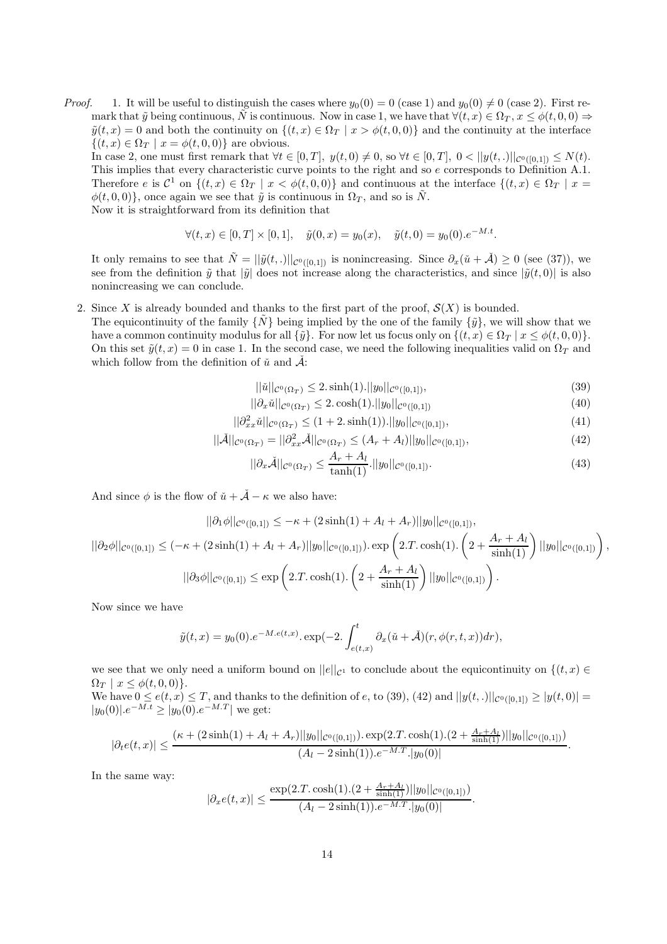*Proof.* 1. It will be useful to distinguish the cases where  $y_0(0) = 0$  (case 1) and  $y_0(0) \neq 0$  (case 2). First remark that  $\tilde{y}$  being continuous,  $\tilde{N}$  is continuous. Now in case 1, we have that  $\forall (t, x) \in \Omega_T$ ,  $x \leq \phi(t, 0, 0) \Rightarrow$  $\tilde{y}(t, x) = 0$  and both the continuity on  $\{(t, x) \in \Omega_T \mid x > \phi(t, 0, 0)\}\$  and the continuity at the interface  $\{(t, x) \in \Omega_T \mid x = \phi(t, 0, 0)\}\$ are obvious.

In case 2, one must first remark that  $\forall t \in [0, T]$ ,  $y(t, 0) \neq 0$ , so  $\forall t \in [0, T]$ ,  $0 < ||y(t, .)||_{\mathcal{C}^0([0, 1])} \leq N(t)$ . This implies that every characteristic curve points to the right and so e corresponds to Definition A.1. Therefore e is  $\mathcal{C}^1$  on  $\{(t,x)\in\Omega_T\mid x<\phi(t,0,0)\}\$  and continuous at the interface  $\{(t,x)\in\Omega_T\mid x=0\}$  $\phi(t, 0, 0)$ , once again we see that  $\tilde{y}$  is continuous in  $\Omega_T$ , and so is  $\tilde{N}$ . Now it is straightforward from its definition that

$$
\forall (t, x) \in [0, T] \times [0, 1], \quad \tilde{y}(0, x) = y_0(x), \quad \tilde{y}(t, 0) = y_0(0).e^{-M \cdot t}.
$$

It only remains to see that  $\tilde{N} = ||\tilde{y}(t,.)||_{\mathcal{C}^0([0,1])}$  is nonincreasing. Since  $\partial_x(\tilde{u} + \tilde{A}) \geq 0$  (see (37)), we see from the definition  $\tilde{y}$  that  $|\tilde{y}|$  does not increase along the characteristics, and since  $|\tilde{y}(t,0)|$  is also nonincreasing we can conclude.

- 2. Since X is already bounded and thanks to the first part of the proof,  $\mathcal{S}(X)$  is bounded.
- The equicontinuity of the family  $\{\tilde{N}\}\$  being implied by the one of the family  $\{\tilde{y}\}\$ , we will show that we have a common continuity modulus for all  $\{\tilde{y}\}\$ . For now let us focus only on  $\{(t, x) \in \Omega_T \mid x \leq \phi(t, 0, 0)\}\$ . On this set  $\tilde{y}(t, x) = 0$  in case 1. In the second case, we need the following inequalities valid on  $\Omega_T$  and which follow from the definition of  $\check{u}$  and  $\check{A}$ :

$$
||\check{u}||_{\mathcal{C}^0(\Omega_T)} \le 2.\sinh(1).||y_0||_{\mathcal{C}^0([0,1])},\tag{39}
$$

$$
||\partial_x \check{u}||_{\mathcal{C}^0(\Omega_T)} \le 2 \cdot \cosh(1).||y_0||_{\mathcal{C}^0([0,1])}
$$
\n(40)

$$
||\partial_{xx}^2 \check{u}||_{\mathcal{C}^0(\Omega_T)} \le (1+2.\sinh(1)).||y_0||_{\mathcal{C}^0([0,1])},\tag{41}
$$

$$
||\check{\mathcal{A}}||_{\mathcal{C}^0(\Omega_T)} = ||\partial_{xx}^2 \check{\mathcal{A}}||_{\mathcal{C}^0(\Omega_T)} \le (A_r + A_l)||y_0||_{\mathcal{C}^0([0,1])},\tag{42}
$$

$$
||\partial_x \check{A}||_{\mathcal{C}^0(\Omega_T)} \le \frac{A_r + A_l}{\tanh(1)} \cdot ||y_0||_{\mathcal{C}^0([0,1])}.
$$
\n(43)

And since  $\phi$  is the flow of  $\check{u} + \check{A} - \kappa$  we also have:

$$
||\partial_1 \phi||_{\mathcal{C}^0([0,1])} \leq -\kappa + (2 \sinh(1) + A_l + A_r)||y_0||_{\mathcal{C}^0([0,1])},
$$
  

$$
||\partial_2 \phi||_{\mathcal{C}^0([0,1])} \leq (-\kappa + (2 \sinh(1) + A_l + A_r)||y_0||_{\mathcal{C}^0([0,1]})) \cdot \exp\left(2 \cdot T \cdot \cosh(1) \cdot \left(2 + \frac{A_r + A_l}{\sinh(1)}\right)||y_0||_{\mathcal{C}^0([0,1])}\right),
$$
  

$$
||\partial_3 \phi||_{\mathcal{C}^0([0,1])} \leq \exp\left(2 \cdot T \cdot \cosh(1) \cdot \left(2 + \frac{A_r + A_l}{\sinh(1)}\right)||y_0||_{\mathcal{C}^0([0,1])}\right).
$$

Now since we have

$$
\tilde{y}(t,x) = y_0(0).e^{-M.e(t,x)}.\exp(-2.\int_{e(t,x)}^t \partial_x(\tilde{u} + \tilde{A})(r,\phi(r,t,x))dr),
$$

we see that we only need a uniform bound on  $||e||_{C^1}$  to conclude about the equicontinuity on  $\{(t, x) \in$  $\Omega_T \mid x \leq \phi(t,0,0)\}.$ 

We have  $0 \leq e(t, x) \leq T$ , and thanks to the definition of e, to (39), (42) and  $||y(t,.)||_{\mathcal{C}^{0}([0,1])} \geq |y(t,0)| =$  $|y_0(0)|e^{-M\cdot t} \geq |y_0(0)|e^{-M\cdot T}|$  we get:

$$
|\partial_t e(t,x)| \leq \frac{(\kappa + (2\sinh(1) + A_l + A_r)||y_0||_{\mathcal{C}^0([0,1])}).\exp(2.T.\cosh(1).(2 + \frac{A_r + A_l}{\sinh(1)})||y_0||_{\mathcal{C}^0([0,1])})}{(A_l - 2\sinh(1)).e^{-M.T}.|y_0(0)|}.
$$

In the same way:

$$
|\partial_x e(t,x)| \leq \frac{\exp(2.T.\cosh(1).(2+\frac{A_r+A_l}{\sinh(1)})||y_0||_{\mathcal{C}^0([0,1])})}{(A_l-2\sinh(1)).e^{-M.T}.|y_0(0)|}.
$$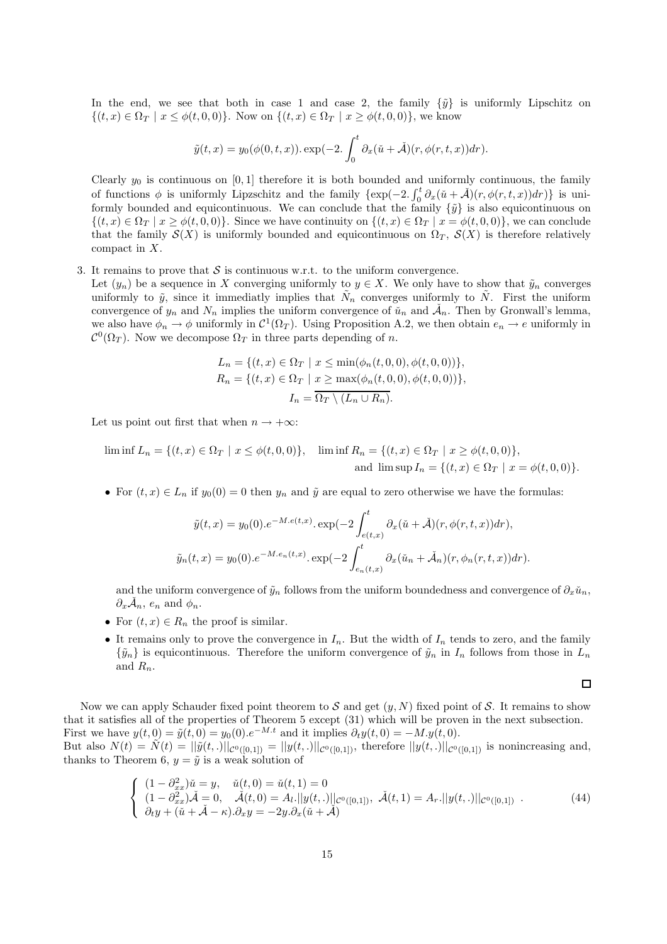In the end, we see that both in case 1 and case 2, the family  $\{\tilde{y}\}\$ is uniformly Lipschitz on  $\{(t, x) \in \Omega_T \mid x \leq \phi(t, 0, 0)\}.$  Now on  $\{(t, x) \in \Omega_T \mid x \geq \phi(t, 0, 0)\},\$ we know

$$
\tilde{y}(t,x) = y_0(\phi(0,t,x)) \cdot \exp(-2 \cdot \int_0^t \partial_x(\tilde{u} + \tilde{\mathcal{A}})(r, \phi(r,t,x)) dr).
$$

Clearly  $y_0$  is continuous on [0, 1] therefore it is both bounded and uniformly continuous, the family of functions  $\phi$  is uniformly Lipzschitz and the family  $\{\exp(-2, \int_0^t \partial_x(\tilde{u} + \tilde{\mathcal{A}})(r, \phi(r, t, x))dr)\}\)$  is uniformly bounded and equicontinuous. We can conclude that the family  $\{\tilde{y}\}$  is also equicontinuous on  $\{(t, x) \in \Omega_T \mid x \geq \phi(t, 0, 0)\}\.$  Since we have continuity on  $\{(t, x) \in \Omega_T \mid x = \phi(t, 0, 0)\}\,$ , we can conclude that the family  $S(X)$  is uniformly bounded and equicontinuous on  $\Omega_T$ ,  $S(X)$  is therefore relatively compact in X.

3. It remains to prove that  $S$  is continuous w.r.t. to the uniform convergence.

Let  $(y_n)$  be a sequence in X converging uniformly to  $y \in X$ . We only have to show that  $\tilde{y}_n$  converges uniformly to  $\tilde{y}$ , since it immediatly implies that  $\tilde{N}_n$  converges uniformly to  $\tilde{N}$ . First the uniform convergence of  $y_n$  and  $N_n$  implies the uniform convergence of  $\check{u}_n$  and  $\check{\mathcal{A}}_n$ . Then by Gronwall's lemma, we also have  $\phi_n \to \phi$  uniformly in  $\mathcal{C}^1(\Omega_T)$ . Using Proposition A.2, we then obtain  $e_n \to e$  uniformly in  $\mathcal{C}^0(\Omega_T)$ . Now we decompose  $\Omega_T$  in three parts depending of n.

$$
L_n = \{(t, x) \in \Omega_T \mid x \le \min(\phi_n(t, 0, 0), \phi(t, 0, 0))\},\newline R_n = \{(t, x) \in \Omega_T \mid x \ge \max(\phi_n(t, 0, 0), \phi(t, 0, 0))\},\newline I_n = \overline{\Omega_T \setminus (L_n \cup R_n)}.
$$

Let us point out first that when  $n \to +\infty$ :

$$
\liminf L_n = \{(t, x) \in \Omega_T \mid x \le \phi(t, 0, 0)\}, \quad \liminf R_n = \{(t, x) \in \Omega_T \mid x \ge \phi(t, 0, 0)\},
$$
  
and 
$$
\limsup I_n = \{(t, x) \in \Omega_T \mid x = \phi(t, 0, 0)\}.
$$

• For  $(t, x) \in L_n$  if  $y_0(0) = 0$  then  $y_n$  and  $\tilde{y}$  are equal to zero otherwise we have the formulas:

$$
\tilde{y}(t,x) = y_0(0).e^{-M.e(t,x)}.\exp(-2\int_{e(t,x)}^t \partial_x(\tilde{u} + \tilde{\mathcal{A}})(r,\phi(r,t,x))dr),
$$

$$
\tilde{y}_n(t,x) = y_0(0).e^{-M.e_n(t,x)}.\exp(-2\int_{e_n(t,x)}^t \partial_x(\tilde{u}_n + \tilde{\mathcal{A}}_n)(r,\phi_n(r,t,x))dr).
$$

and the uniform convergence of  $\tilde{y}_n$  follows from the uniform boundedness and convergence of  $\partial_x \tilde{u}_n$ ,  $\partial_x \check{\mathcal{A}}_n$ ,  $e_n$  and  $\phi_n$ .

- For  $(t, x) \in R_n$  the proof is similar.
- It remains only to prove the convergence in  $I_n$ . But the width of  $I_n$  tends to zero, and the family  $\{\tilde{y}_n\}$  is equicontinuous. Therefore the uniform convergence of  $\tilde{y}_n$  in  $I_n$  follows from those in  $L_n$ and  $R_n$ .

$$
\Box
$$

Now we can apply Schauder fixed point theorem to S and get  $(y, N)$  fixed point of S. It remains to show that it satisfies all of the properties of Theorem 5 except (31) which will be proven in the next subsection. First we have  $y(t, 0) = \tilde{y}(t, 0) = y_0(0) e^{-M \cdot t}$  and it implies  $\partial_t y(t, 0) = -M \cdot y(t, 0)$ . But also  $N(t) = \tilde{N}(t) = ||\tilde{y}(t,.)||_{\mathcal{C}^{0}([0,1])} = ||y(t,.)||_{\mathcal{C}^{0}([0,1])}$ , therefore  $||y(t,.)||_{\mathcal{C}^{0}([0,1])}$  is nonincreasing and,

thanks to Theorem 6,  $y = \tilde{y}$  is a weak solution of

$$
\begin{cases}\n(1 - \partial_{xx}^2)\check{u} = y, & \check{u}(t,0) = \check{u}(t,1) = 0 \\
(1 - \partial_{xx}^2)\check{A} = 0, & \check{A}(t,0) = A_l. \quad ||y(t,.)||_{\mathcal{C}^0([0,1])}, & \check{A}(t,1) = A_r. \quad ||y(t,.)||_{\mathcal{C}^0([0,1])} \\
\partial_t y + (\check{u} + \check{A} - \kappa).\partial_x y = -2y.\partial_x(\check{u} + \check{A})\n\end{cases} \tag{44}
$$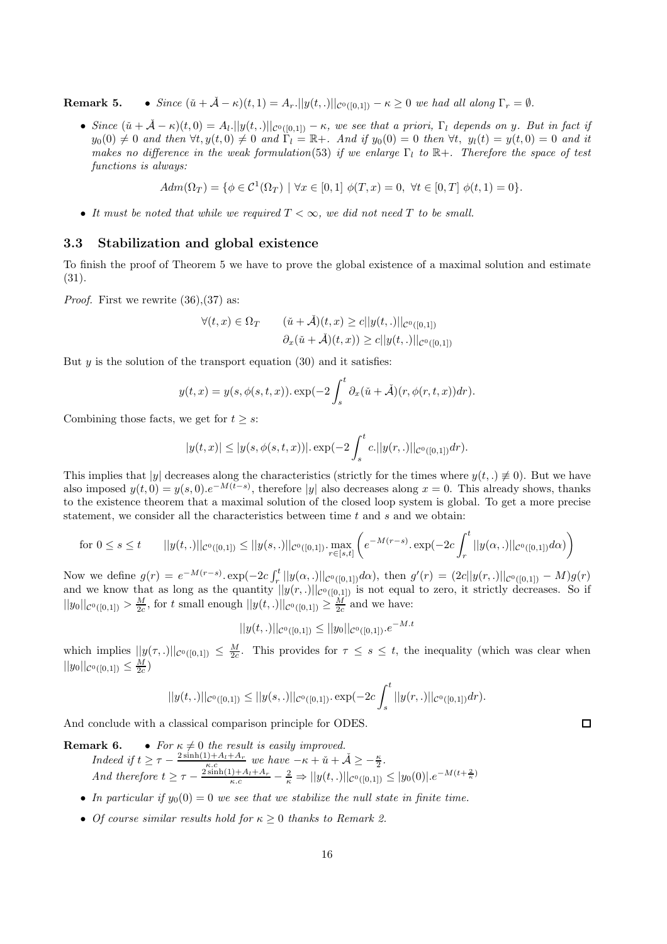**Remark 5.** • Since  $(\check{u} + \check{A} - \kappa)(t, 1) = A_r$ .  $||y(t, .)||_{\mathcal{C}^0([0,1])} - \kappa \geq 0$  we had all along  $\Gamma_r = \emptyset$ .

• Since  $(\check{u} + \check{A} - \kappa)(t, 0) = A_l$ .  $||y(t, .)||_{\mathcal{C}^{0}([0, 1])} - \kappa$ , we see that a priori,  $\Gamma_l$  depends on y. But in fact if  $y_0(0) \neq 0$  and then  $\forall t, y(t, 0) \neq 0$  and  $\overline{\Gamma}_l = \mathbb{R}+$ . And if  $y_0(0) = 0$  then  $\forall t, y_l(t) = y(t, 0) = 0$  and it makes no difference in the weak formulation(53) if we enlarge  $\Gamma_l$  to  $\mathbb{R}^+$ . Therefore the space of test functions is always:

 $Adm(\Omega_T) = \{ \phi \in C^1(\Omega_T) \mid \forall x \in [0,1] \phi(T,x) = 0, \ \forall t \in [0,T] \phi(t,1) = 0 \}.$ 

• It must be noted that while we required  $T < \infty$ , we did not need T to be small.

## 3.3 Stabilization and global existence

To finish the proof of Theorem 5 we have to prove the global existence of a maximal solution and estimate (31).

*Proof.* First we rewrite  $(36),(37)$  as:

$$
\forall (t, x) \in \Omega_T \qquad (\check{u} + \check{A})(t, x) \ge c ||y(t, .)||_{\mathcal{C}^0([0, 1])}
$$

$$
\partial_x(\check{u} + \check{A})(t, x)) \ge c ||y(t, .)||_{\mathcal{C}^0([0, 1])}
$$

But  $y$  is the solution of the transport equation (30) and it satisfies:

$$
y(t,x) = y(s, \phi(s,t,x)). \exp(-2\int_s^t \partial_x(\tilde{u} + \tilde{\mathcal{A}})(r, \phi(r,t,x))dr).
$$

Combining those facts, we get for  $t > s$ :

$$
|y(t,x)| \le |y(s,\phi(s,t,x))| \cdot \exp(-2\int_s^t c. ||y(r,.)||_{\mathcal{C}^0([0,1])} dr).
$$

This implies that |y| decreases along the characteristics (strictly for the times where  $y(t,.) \neq 0$ ). But we have also imposed  $y(t, 0) = y(s, 0) \cdot e^{-M(t-s)}$ , therefore |y| also decreases along  $x = 0$ . This already shows, thanks to the existence theorem that a maximal solution of the closed loop system is global. To get a more precise statement, we consider all the characteristics between time  $t$  and  $s$  and we obtain:

$$
\text{for } 0 \le s \le t \qquad ||y(t,.)||_{\mathcal{C}^0([0,1])} \le ||y(s,.)||_{\mathcal{C}^0([0,1])} \cdot \max_{r \in [s,t]} \left( e^{-M(r-s)} \cdot \exp(-2c \int_r^t ||y(\alpha,.)||_{\mathcal{C}^0([0,1])} d\alpha) \right)
$$

Now we define  $g(r) = e^{-M(r-s)} \cdot \exp(-2c \int_r^t ||y(\alpha,.)||_{\mathcal{C}^0([0,1])} d\alpha)$ , then  $g'(r) = (2c||y(r,.)||_{\mathcal{C}^0([0,1])} - M)g(r)$ and we know that as long as the quantity  $||y(r,.)||_{\mathcal{C}^0([0,1])}$  is not equal to zero, it strictly decreases. So if  $||y_0||_{\mathcal{C}^0([0,1])} > \frac{M}{2c}$ , for t small enough  $||y(t,.)||_{\mathcal{C}^0([0,1])} \geq \frac{M}{2c}$  and we have:

$$
||y(t,.)||_{\mathcal{C}^{0}([0,1])} \leq ||y_0||_{\mathcal{C}^{0}([0,1])}.e^{-M.t}
$$

which implies  $||y(\tau,.)||_{\mathcal{C}^0([0,1])} \leq \frac{M}{2c}$ . This provides for  $\tau \leq s \leq t$ , the inequality (which was clear when  $||y_0||_{\mathcal{C}^0([0,1])} \leq \frac{M}{2c})$ 

$$
||y(t,.)||_{\mathcal{C}^{0}([0,1])} \leq ||y(s,.)||_{\mathcal{C}^{0}([0,1])} \cdot \exp(-2c \int_{s}^{t} ||y(r,.)||_{\mathcal{C}^{0}([0,1])} dr).
$$

And conclude with a classical comparison principle for ODES.

**Remark 6.** • For  $\kappa \neq 0$  the result is easily improved. Indeed if  $t \geq \tau - \frac{2 \sinh(1) + A_t + A_r}{\kappa.c}$  we have  $-\kappa + \check{u} + \check{A} \geq -\frac{\kappa}{2}$ . And therefore  $t \geq \tau - \frac{2 \sinh(1) + A_l + A_r}{\kappa.c} - \frac{2}{\kappa} \Rightarrow ||y(t,.)||_{\mathcal{C}^0([0,1])} \leq |y_0(0)| \cdot e^{-M(t + \frac{2}{\kappa})}$ 

- In particular if  $y_0(0) = 0$  we see that we stabilize the null state in finite time.
- Of course similar results hold for  $\kappa \geq 0$  thanks to Remark 2.

 $\Box$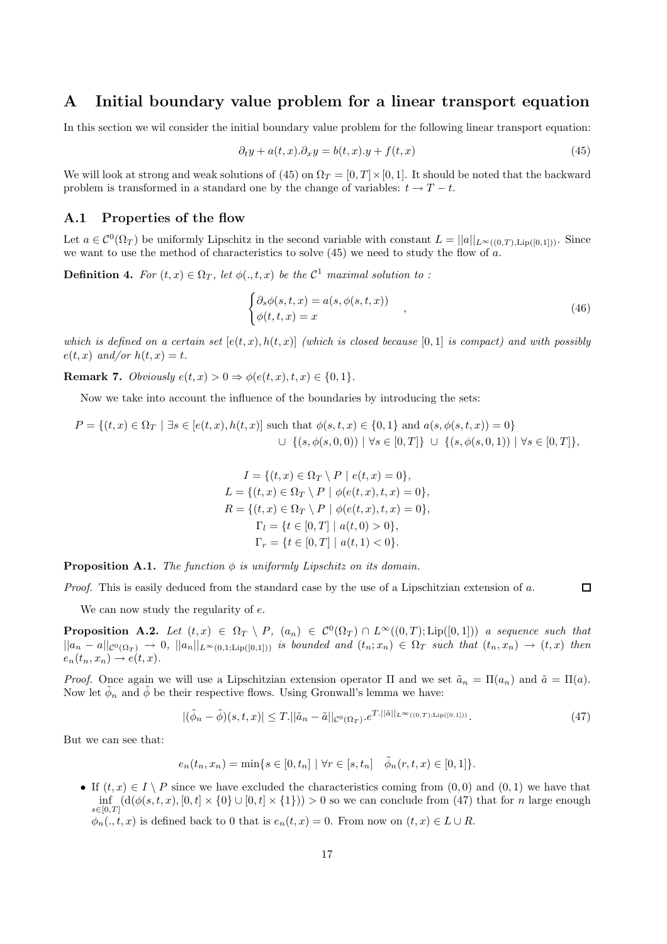# A Initial boundary value problem for a linear transport equation

In this section we wil consider the initial boundary value problem for the following linear transport equation:

$$
\partial_t y + a(t, x).\partial_x y = b(t, x).y + f(t, x) \tag{45}
$$

We will look at strong and weak solutions of (45) on  $\Omega_T = [0, T] \times [0, 1]$ . It should be noted that the backward problem is transformed in a standard one by the change of variables:  $t \to T - t$ .

#### A.1 Properties of the flow

Let  $a \in C^0(\Omega_T)$  be uniformly Lipschitz in the second variable with constant  $L = ||a||_{L^{\infty}((0,T), Lip([0,1]))}$ . Since we want to use the method of characteristics to solve  $(45)$  we need to study the flow of a.

**Definition 4.** For  $(t, x) \in \Omega_T$ , let  $\phi(., t, x)$  be the  $\mathcal{C}^1$  maximal solution to :

$$
\begin{cases} \partial_s \phi(s, t, x) = a(s, \phi(s, t, x)) \\ \phi(t, t, x) = x \end{cases} \tag{46}
$$

 $\Box$ 

which is defined on a certain set  $[e(t, x), h(t, x)]$  (which is closed because [0,1] is compact) and with possibly  $e(t, x)$  and/or  $h(t, x) = t$ .

**Remark 7.** Obviously  $e(t, x) > 0 \Rightarrow \phi(e(t, x), t, x) \in \{0, 1\}.$ 

Now we take into account the influence of the boundaries by introducing the sets:

$$
P = \{(t, x) \in \Omega_T \mid \exists s \in [e(t, x), h(t, x)] \text{ such that } \phi(s, t, x) \in \{0, 1\} \text{ and } a(s, \phi(s, t, x)) = 0\}
$$
  

$$
\cup \{(s, \phi(s, 0, 0)) \mid \forall s \in [0, T]\} \cup \{(s, \phi(s, 0, 1)) \mid \forall s \in [0, T]\},
$$

$$
I = \{(t, x) \in \Omega_T \setminus P \mid e(t, x) = 0\},
$$
  
\n
$$
L = \{(t, x) \in \Omega_T \setminus P \mid \phi(e(t, x), t, x) = 0\},
$$
  
\n
$$
R = \{(t, x) \in \Omega_T \setminus P \mid \phi(e(t, x), t, x) = 0\},
$$
  
\n
$$
\Gamma_l = \{t \in [0, T] \mid a(t, 0) > 0\},
$$
  
\n
$$
\Gamma_r = \{t \in [0, T] \mid a(t, 1) < 0\}.
$$

**Proposition A.1.** The function  $\phi$  is uniformly Lipschitz on its domain.

*Proof.* This is easily deduced from the standard case by the use of a Lipschitzian extension of  $a$ .

We can now study the regularity of  $e$ .

**Proposition A.2.** Let  $(t,x) \in \Omega_T \setminus P$ ,  $(a_n) \in C^0(\Omega_T) \cap L^{\infty}((0,T); Lip([0,1]))$  a sequence such that  $||a_n - a||_{\mathcal{C}^0(\Omega_T)} \to 0$ ,  $||a_n||_{L^{\infty}(0,1;{\rm Lip}([0,1]))}$  is bounded and  $(t_n; x_n) \in \Omega_T$  such that  $(t_n, x_n) \to (t, x)$  then  $e_n(t_n, x_n) \rightarrow e(t, x)$ .

*Proof.* Once again we will use a Lipschitzian extension operator  $\Pi$  and we set  $\tilde{a}_n = \Pi(a_n)$  and  $\tilde{a} = \Pi(a)$ . Now let  $\tilde{\phi}_n$  and  $\tilde{\phi}$  be their respective flows. Using Gronwall's lemma we have:

$$
|(\tilde{\phi}_n - \tilde{\phi})(s, t, x)| \le T \cdot ||\tilde{a}_n - \tilde{a}||_{\mathcal{C}^0(\Omega_T)} \cdot e^{T \cdot ||\tilde{a}||_{L^{\infty}((0, T); \text{Lip}([0, 1]))}}.
$$
\n(47)

But we can see that:

$$
e_n(t_n, x_n) = \min\{s \in [0, t_n] \mid \forall r \in [s, t_n] \quad \tilde{\phi}_n(r, t, x) \in [0, 1]\}.
$$

• If  $(t, x) \in I \setminus P$  since we have excluded the characteristics coming from  $(0, 0)$  and  $(0, 1)$  we have that  $\inf_{s\in[0,T]}(\mathrm{d}(\phi(s,t,x),[0,t]\times\{0\}\cup[0,t]\times\{1\}))>0$  so we can conclude from (47) that for n large enough  $\phi_n(., t, x)$  is defined back to 0 that is  $e_n(t, x) = 0$ . From now on  $(t, x) \in L \cup R$ .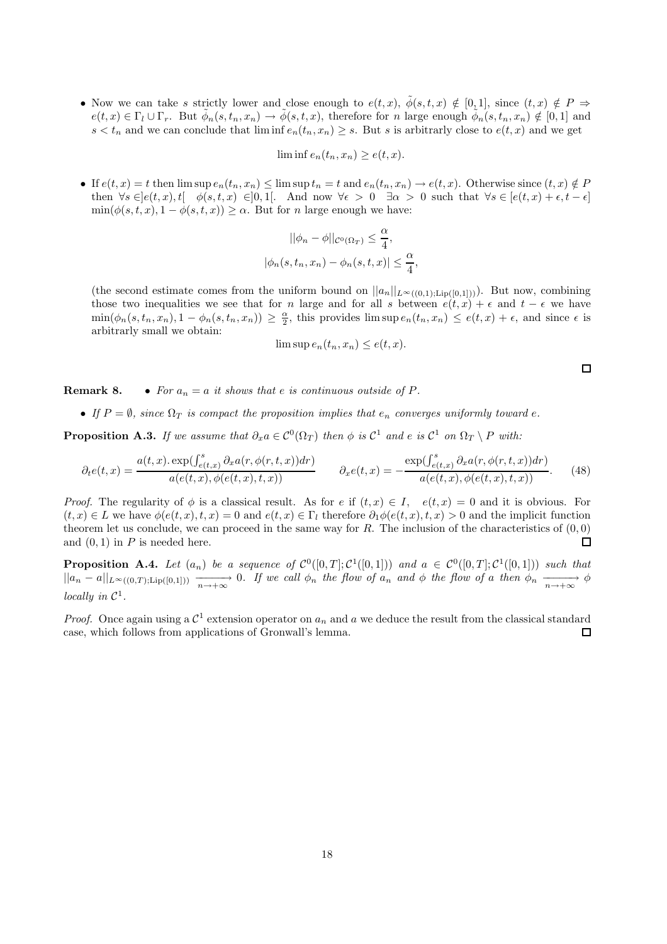• Now we can take s strictly lower and close enough to  $e(t, x)$ ,  $\phi(s, t, x) \notin [0, 1]$ , since  $(t, x) \notin P \Rightarrow$  $e(t,x) \in \Gamma_l \cup \Gamma_r$ . But  $\tilde{\phi}_n(s,t_n,x_n) \to \tilde{\phi}(s,t,x)$ , therefore for n large enough  $\tilde{\phi}_n(s,t_n,x_n) \notin [0,1]$  and  $s < t_n$  and we can conclude that  $\liminf e_n(t_n, x_n) \geq s$ . But s is arbitrarly close to  $e(t, x)$  and we get

$$
\liminf e_n(t_n, x_n) \ge e(t, x).
$$

• If  $e(t, x) = t$  then  $\limsup e_n(t_n, x_n) \leq \limsup t_n = t$  and  $e_n(t_n, x_n) \to e(t, x)$ . Otherwise since  $(t, x) \notin P$ then  $\forall s \in [e(t, x), t]$   $\phi(s, t, x) \in ]0, 1]$ . And now  $\forall \epsilon > 0$   $\exists \alpha > 0$  such that  $\forall s \in [e(t, x) + \epsilon, t - \epsilon]$  $\min(\phi(s,t,x), 1 - \phi(s,t,x)) \ge \alpha$ . But for *n* large enough we have:

$$
||\phi_n - \phi||_{\mathcal{C}^0(\Omega_T)} \le \frac{\alpha}{4},
$$
  

$$
|\phi_n(s, t_n, x_n) - \phi_n(s, t, x)| \le \frac{\alpha}{4},
$$

(the second estimate comes from the uniform bound on  $||a_n||_{L^{\infty}((0,1);Lip([0,1]))}$ ). But now, combining those two inequalities we see that for n large and for all s between  $e(t, x) + \epsilon$  and  $t - \epsilon$  we have  $\min(\phi_n(s,t_n,x_n), 1-\phi_n(s,t_n,x_n)) \geq \frac{\alpha}{2}$ , this provides  $\limsup e_n(t_n,x_n) \leq e(t,x) + \epsilon$ , and since  $\epsilon$  is arbitrarly small we obtain:

$$
\limsup e_n(t_n, x_n) \le e(t, x).
$$

**Remark 8.** • For  $a_n = a$  it shows that e is continuous outside of P.

• If  $P = \emptyset$ , since  $\Omega_T$  is compact the proposition implies that  $e_n$  converges uniformly toward e.

**Proposition A.3.** If we assume that  $\partial_x a \in C^0(\Omega_T)$  then  $\phi$  is  $C^1$  and e is  $C^1$  on  $\Omega_T \setminus P$  with:

$$
\partial_t e(t,x) = \frac{a(t,x) \cdot \exp(\int_{e(t,x)}^s \partial_x a(r,\phi(r,t,x)) dr)}{a(e(t,x),\phi(e(t,x),t,x))} \qquad \partial_x e(t,x) = -\frac{\exp(\int_{e(t,x)}^s \partial_x a(r,\phi(r,t,x)) dr)}{a(e(t,x),\phi(e(t,x),t,x))}.\tag{48}
$$

*Proof.* The regularity of  $\phi$  is a classical result. As for e if  $(t, x) \in I$ ,  $e(t, x) = 0$  and it is obvious. For  $(t, x) \in L$  we have  $\phi(e(t, x), t, x) = 0$  and  $e(t, x) \in \Gamma_l$  therefore  $\partial_1 \phi(e(t, x), t, x) > 0$  and the implicit function theorem let us conclude, we can proceed in the same way for R. The inclusion of the characteristics of  $(0, 0)$ and  $(0, 1)$  in P is needed here.  $\Box$ 

**Proposition A.4.** Let  $(a_n)$  be a sequence of  $C^0([0,T]; C^1([0,1]))$  and  $a \in C^0([0,T]; C^1([0,1]))$  such that  $||a_n - a||_{L^{\infty}((0,T); Lip([0,1]))}$   $\xrightarrow[n \to +\infty]{} 0$ . If we call  $\phi_n$  the flow of  $a_n$  and  $\phi$  the flow of a then  $\phi_n$   $\xrightarrow[n \to +\infty]{} \phi$ locally in  $\mathcal{C}^1$ .

*Proof.* Once again using a  $\mathcal{C}^1$  extension operator on  $a_n$  and a we deduce the result from the classical standard case, which follows from applications of Gronwall's lemma.  $\Box$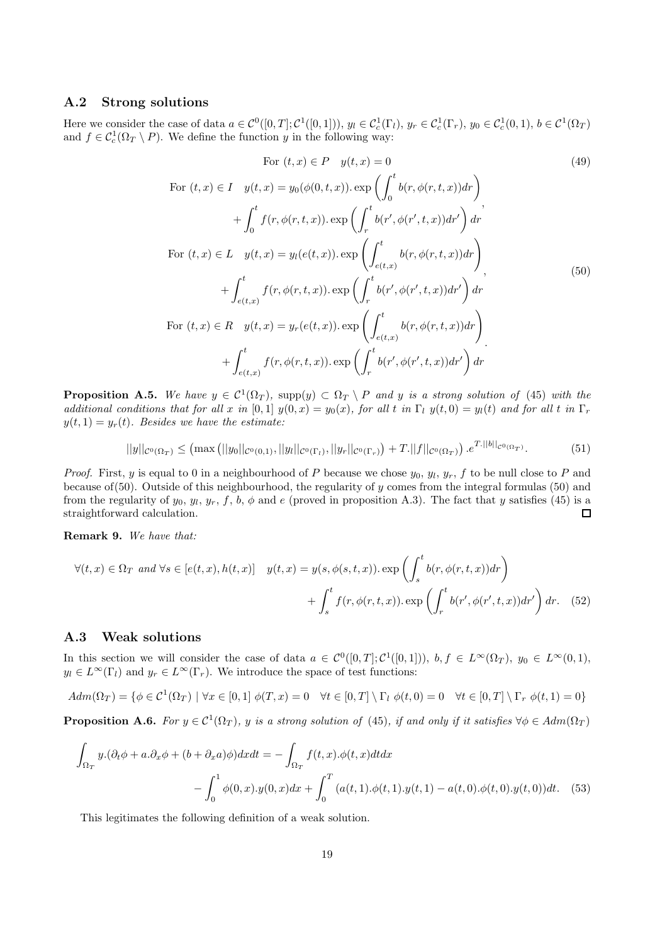## A.2 Strong solutions

Here we consider the case of data  $a \in C^0([0,T]; C^1([0,1]))$ ,  $y_l \in C_c^1(\Gamma_l)$ ,  $y_r \in C_c^1(\Gamma_r)$ ,  $y_0 \in C_c^1(0,1)$ ,  $b \in C^1(\Omega_T)$ and  $f \in C_c^1(\Omega_T \setminus P)$ . We define the function y in the following way:

For 
$$
(t, x) \in P
$$
  $y(t, x) = 0$  (49)  
\nFor  $(t, x) \in I$   $y(t, x) = y_0(\phi(0, t, x)) \cdot \exp\left(\int_0^t b(r, \phi(r, t, x)) dr\right)$   
\n $+ \int_0^t f(r, \phi(r, t, x)) \cdot \exp\left(\int_r^t b(r', \phi(r', t, x)) dr'\right) dr'$   
\nFor  $(t, x) \in L$   $y(t, x) = y_l(e(t, x)) \cdot \exp\left(\int_{e(t, x)}^t b(r, \phi(r, t, x)) dr\right)$ ,  
\n $+ \int_{e(t, x)}^t f(r, \phi(r, t, x)) \cdot \exp\left(\int_r^t b(r', \phi(r', t, x)) dr'\right) dr$   
\nFor  $(t, x) \in R$   $y(t, x) = y_r(e(t, x)) \cdot \exp\left(\int_{e(t, x)}^t b(r, \phi(r, t, x)) dr\right)$   
\n $+ \int_{e(t, x)}^t f(r, \phi(r, t, x)) \cdot \exp\left(\int_r^t b(r', \phi(r', t, x)) dr'\right) dr$ 

**Proposition A.5.** We have  $y \in C^1(\Omega_T)$ , supp $(y) \subset \Omega_T \setminus P$  and y is a strong solution of (45) with the additional conditions that for all x in [0, 1]  $y(0, x) = y_0(x)$ , for all t in Γ<sub>l</sub>  $y(t, 0) = y_1(t)$  and for all t in Γ<sub>r</sub>  $y(t, 1) = y_r(t)$ . Besides we have the estimate:

$$
||y||_{\mathcal{C}^{0}(\Omega_{T})} \leq \left(\max\left(||y_{0}||_{\mathcal{C}^{0}(0,1)},||y_{l}||_{\mathcal{C}^{0}(\Gamma_{l})},||y_{r}||_{\mathcal{C}^{0}(\Gamma_{r})}\right)+T.||f||_{\mathcal{C}^{0}(\Omega_{T})}\right).e^{T.||b||_{\mathcal{C}^{0}(\Omega_{T})}}.
$$
\n(51)

*Proof.* First, y is equal to 0 in a neighbourhood of P because we chose  $y_0, y_l, y_r, f$  to be null close to P and because of(50). Outside of this neighbourhood, the regularity of  $y$  comes from the integral formulas (50) and from the regularity of  $y_0, y_l, y_r, f, b, \phi$  and e (proved in proposition A.3). The fact that y satisfies (45) is a straightforward calculation.  $\Box$ 

Remark 9. We have that:

$$
\forall (t,x) \in \Omega_T \text{ and } \forall s \in [e(t,x), h(t,x)] \quad y(t,x) = y(s, \phi(s,t,x)). \exp\left(\int_s^t b(r, \phi(r,t,x)) dr\right) + \int_s^t f(r, \phi(r,t,x)). \exp\left(\int_r^t b(r', \phi(r',t,x)) dr'\right) dr. \tag{52}
$$

## A.3 Weak solutions

In this section we will consider the case of data  $a \in C^0([0,T]; C^1([0,1]))$ ,  $b, f \in L^{\infty}(\Omega_T)$ ,  $y_0 \in L^{\infty}(0,1)$ ,  $y_l \in L^{\infty}(\Gamma_l)$  and  $y_r \in L^{\infty}(\Gamma_r)$ . We introduce the space of test functions:

 $Adm(\Omega_T) = \{ \phi \in C^1(\Omega_T) \mid \forall x \in [0,1] \phi(T,x) = 0 \quad \forall t \in [0,T] \setminus \Gamma_l \phi(t,0) = 0 \quad \forall t \in [0,T] \setminus \Gamma_r \phi(t,1) = 0 \}$ 

**Proposition A.6.** For  $y \in C^1(\Omega_T)$ , y is a strong solution of (45), if and only if it satisfies  $\forall \phi \in Adm(\Omega_T)$ 

$$
\int_{\Omega_T} y.(\partial_t \phi + a \cdot \partial_x \phi + (b + \partial_x a)\phi) dx dt = -\int_{\Omega_T} f(t, x) . \phi(t, x) dt dx \n- \int_0^1 \phi(0, x) . y(0, x) dx + \int_0^T (a(t, 1) . \phi(t, 1) . y(t, 1) - a(t, 0) . \phi(t, 0) . y(t, 0)) dt.
$$
\n(53)

This legitimates the following definition of a weak solution.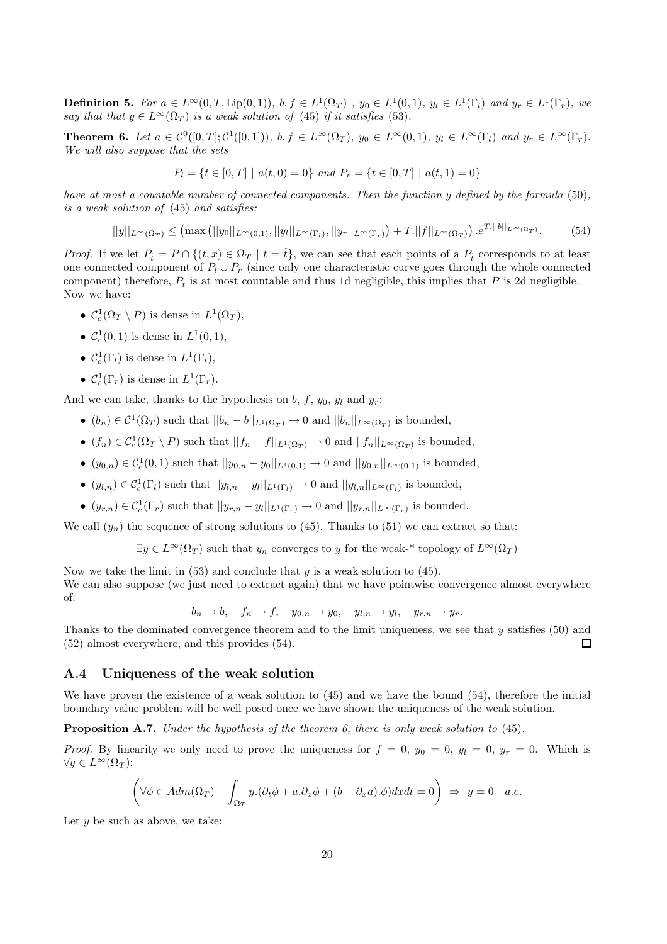**Definition 5.** For  $a \in L^{\infty}(0,T,\text{Lip}(0,1))$ ,  $b, f \in L^{1}(\Omega_{T})$  ,  $y_{0} \in L^{1}(0,1)$ ,  $y_{l} \in L^{1}(\Gamma_{l})$  and  $y_{r} \in L^{1}(\Gamma_{r})$ , we say that that  $y \in L^{\infty}(\Omega_T)$  is a weak solution of (45) if it satisfies (53).

**Theorem 6.** Let  $a \in C^0([0,T]; C^1([0,1]))$ ,  $b, f \in L^{\infty}(\Omega_T)$ ,  $y_0 \in L^{\infty}(0,1)$ ,  $y_l \in L^{\infty}(\Gamma_l)$  and  $y_r \in L^{\infty}(\Gamma_r)$ . We will also suppose that the sets

$$
P_l = \{ t \in [0, T] \mid a(t, 0) = 0 \} \text{ and } P_r = \{ t \in [0, T] \mid a(t, 1) = 0 \}
$$

have at most a countable number of connected components. Then the function y defined by the formula (50), is a weak solution of (45) and satisfies:

$$
||y||_{L^{\infty}(\Omega_T)} \leq (\max (||y_0||_{L^{\infty}(0,1)}, ||y_1||_{L^{\infty}(\Gamma_t)}, ||y_r||_{L^{\infty}(\Gamma_r)}) + T. ||f||_{L^{\infty}(\Omega_T)}).e^{T.||b||_{L^{\infty}(\Omega_T)}}.
$$
(54)

*Proof.* If we let  $P_t = P \cap \{(t, x) \in \Omega_T \mid t = \tilde{t}\}$ , we can see that each points of a  $P_t$  corresponds to at least one connected component of  $P_l \cup P_r$  (since only one characteristic curve goes through the whole connected component) therefore,  $P_t$  is at most countable and thus 1d negligible, this implies that P is 2d negligible. Now we have:

- $C_c^1(\Omega_T \setminus P)$  is dense in  $L^1(\Omega_T)$ ,
- $C_c^1(0, 1)$  is dense in  $L^1(0, 1)$ ,
- $C_c^1(\Gamma_l)$  is dense in  $L^1(\Gamma_l)$ ,
- $\mathcal{C}_c^1(\Gamma_r)$  is dense in  $L^1(\Gamma_r)$ .

And we can take, thanks to the hypothesis on b, f,  $y_0$ ,  $y_l$  and  $y_r$ :

- $(b_n) \in C^1(\Omega_T)$  such that  $||b_n b||_{L^1(\Omega_T)} \to 0$  and  $||b_n||_{L^{\infty}(\Omega_T)}$  is bounded,
- $(f_n) \in C_c^1(\Omega_T \setminus P)$  such that  $||f_n f||_{L^1(\Omega_T)} \to 0$  and  $||f_n||_{L^{\infty}(\Omega_T)}$  is bounded,
- $(y_{0,n}) \in C_c^1(0,1)$  such that  $||y_{0,n} y_0||_{L^1(0,1)} \to 0$  and  $||y_{0,n}||_{L^{\infty}(0,1)}$  is bounded,
- $(y_{l,n}) \in C_c^1(\Gamma_l)$  such that  $||y_{l,n} y_l||_{L^1(\Gamma_l)} \to 0$  and  $||y_{l,n}||_{L^{\infty}(\Gamma_l)}$  is bounded,
- $(y_{r,n}) \in C_c^1(\Gamma_r)$  such that  $||y_{r,n} y_l||_{L^1(\Gamma_r)} \to 0$  and  $||y_{r,n}||_{L^{\infty}(\Gamma_r)}$  is bounded.

We call  $(y_n)$  the sequence of strong solutions to (45). Thanks to (51) we can extract so that:

 $\exists y \in L^{\infty}(\Omega_T)$  such that  $y_n$  converges to y for the weak-\* topology of  $L^{\infty}(\Omega_T)$ 

Now we take the limit in  $(53)$  and conclude that y is a weak solution to  $(45)$ . We can also suppose (we just need to extract again) that we have pointwise convergence almost everywhere of:

$$
b_n \to b
$$
,  $f_n \to f$ ,  $y_{0,n} \to y_0$ ,  $y_{l,n} \to y_l$ ,  $y_{r,n} \to y_r$ .

Thanks to the dominated convergence theorem and to the limit uniqueness, we see that  $y$  satisfies (50) and (52) almost everywhere, and this provides (54).  $\Box$ 

## A.4 Uniqueness of the weak solution

We have proven the existence of a weak solution to  $(45)$  and we have the bound  $(54)$ , therefore the initial boundary value problem will be well posed once we have shown the uniqueness of the weak solution.

Proposition A.7. Under the hypothesis of the theorem 6, there is only weak solution to (45).

*Proof.* By linearity we only need to prove the uniqueness for  $f = 0$ ,  $y_0 = 0$ ,  $y_l = 0$ ,  $y_r = 0$ . Which is  $\forall y \in L^{\infty}(\Omega_T)$ :

$$
\left(\forall \phi \in Adm(\Omega_T) \quad \int_{\Omega_T} y.(\partial_t \phi + a.\partial_x \phi + (b + \partial_x a).\phi) dx dt = 0\right) \Rightarrow y = 0 \quad a.e.
$$

Let  $y$  be such as above, we take: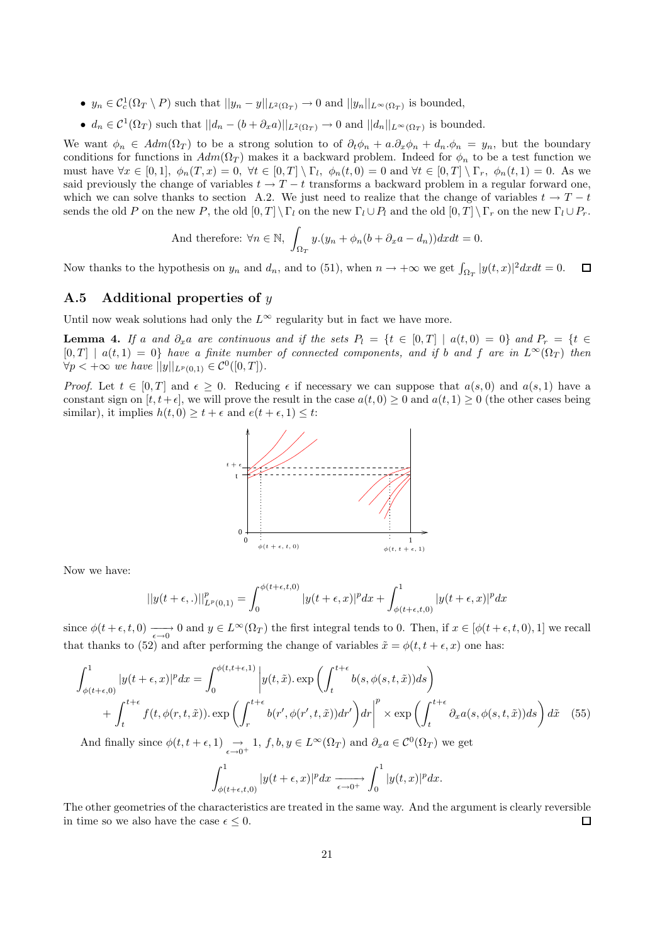- $y_n \in C_c^1(\Omega_T \setminus P)$  such that  $||y_n y||_{L^2(\Omega_T)} \to 0$  and  $||y_n||_{L^{\infty}(\Omega_T)}$  is bounded,
- $d_n \in C^1(\Omega_T)$  such that  $||d_n (b + \partial_x a)||_{L^2(\Omega_T)} \to 0$  and  $||d_n||_{L^{\infty}(\Omega_T)}$  is bounded.

We want  $\phi_n \in Adm(\Omega_T)$  to be a strong solution to of  $\partial_t \phi_n + a \partial_x \phi_n + d_n \phi_n = y_n$ , but the boundary conditions for functions in  $Adm(\Omega_T)$  makes it a backward problem. Indeed for  $\phi_n$  to be a test function we must have  $\forall x \in [0,1], \phi_n(T,x) = 0, \forall t \in [0,T] \setminus \Gamma_t$ ,  $\phi_n(t,0) = 0$  and  $\forall t \in [0,T] \setminus \Gamma_r$ ,  $\phi_n(t,1) = 0$ . As we said previously the change of variables  $t \to T - t$  transforms a backward problem in a regular forward one, which we can solve thanks to section A.2. We just need to realize that the change of variables  $t \to T - t$ sends the old P on the new P, the old  $[0, T] \setminus \Gamma_l$  on the new  $\Gamma_l \cup P_l$  and the old  $[0, T] \setminus \Gamma_r$  on the new  $\Gamma_l \cup P_r$ .

And therefore: 
$$
\forall n \in \mathbb{N}
$$
,  $\int_{\Omega_T} y.(y_n + \phi_n(b + \partial_x a - d_n)) dx dt = 0$ .

Now thanks to the hypothesis on  $y_n$  and  $d_n$ , and to (51), when  $n \to +\infty$  we get  $\int_{\Omega_T} |y(t,x)|^2 dx dt = 0$ .  $\Box$ 

## A.5 Additional properties of  $y$

Until now weak solutions had only the  $L^{\infty}$  regularity but in fact we have more.

**Lemma 4.** If a and  $\partial_x a$  are continuous and if the sets  $P_l = \{t \in [0,T] \mid a(t,0) = 0\}$  and  $P_r = \{t \in [0,T] \mid a(t,0) = 0\}$  $[0, T] | a(t, 1) = 0$  have a finite number of connected components, and if b and f are in  $L^{\infty}(\Omega_T)$  then  $\forall p < +\infty$  we have  $||y||_{L^p(0,1)} \in C^0([0,T]).$ 

*Proof.* Let  $t \in [0, T]$  and  $\epsilon \geq 0$ . Reducing  $\epsilon$  if necessary we can suppose that  $a(s, 0)$  and  $a(s, 1)$  have a constant sign on  $[t, t + \epsilon]$ , we will prove the result in the case  $a(t, 0) \ge 0$  and  $a(t, 1) \ge 0$  (the other cases being similar), it implies  $h(t, 0) \ge t + \epsilon$  and  $e(t + \epsilon, 1) \le t$ :



Now we have:

$$
||y(t+\epsilon,.)||^p_{L^p(0,1)} = \int_0^{\phi(t+\epsilon,t,0)} |y(t+\epsilon,x)|^p dx + \int_{\phi(t+\epsilon,t,0)}^1 |y(t+\epsilon,x)|^p dx
$$

since  $\phi(t+\epsilon, t, 0) \longrightarrow 0$  and  $y \in L^{\infty}(\Omega_T)$  the first integral tends to 0. Then, if  $x \in [\phi(t+\epsilon, t, 0), 1]$  we recall that thanks to (52) and after performing the change of variables  $\tilde{x} = \phi(t, t + \epsilon, x)$  one has:

$$
\int_{\phi(t+\epsilon,0)}^{1} |y(t+\epsilon,x)|^p dx = \int_0^{\phi(t,t+\epsilon,1)} \left| y(t,\tilde{x}) \cdot \exp\left(\int_t^{t+\epsilon} b(s,\phi(s,t,\tilde{x}))ds\right) + \int_t^{t+\epsilon} f(t,\phi(r,t,\tilde{x})) \cdot \exp\left(\int_r^{t+\epsilon} b(r',\phi(r',t,\tilde{x}))dr'\right) dr \right|^p \times \exp\left(\int_t^{t+\epsilon} \partial_x a(s,\phi(s,t,\tilde{x}))ds\right) d\tilde{x}
$$
(55)

And finally since  $\phi(t, t + \epsilon, 1) \rightarrow \epsilon \rightarrow 1$ ,  $f, b, y \in L^{\infty}(\Omega_T)$  and  $\partial_x a \in C^0(\Omega_T)$  we get

$$
\int_{\phi(t+\epsilon,t,0)}^1 |y(t+\epsilon,x)|^p dx \xrightarrow[\epsilon \to 0^+]{} \int_0^1 |y(t,x)|^p dx.
$$

The other geometries of the characteristics are treated in the same way. And the argument is clearly reversible in time so we also have the case  $\epsilon \leq 0$ .  $\Box$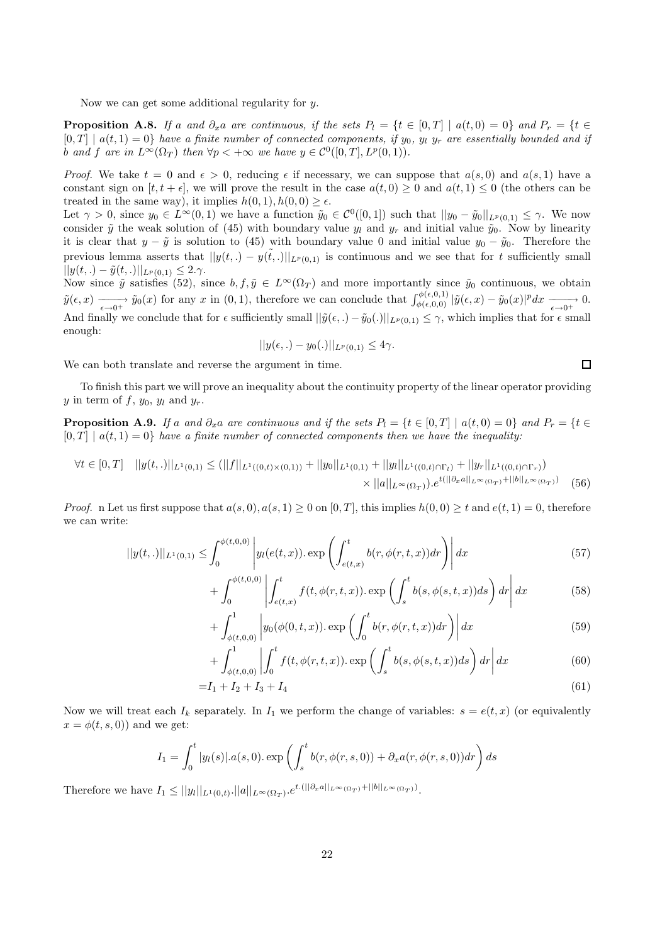Now we can get some additional regularity for y.

**Proposition A.8.** If a and  $\partial_x a$  are continuous, if the sets  $P_l = \{t \in [0,T] \mid a(t,0) = 0\}$  and  $P_r = \{t \in [0,T] \mid a(t,0) = 0\}$  $[0,T] | a(t,1) = 0$  have a finite number of connected components, if y<sub>0</sub>, y<sub>l</sub> y<sub>r</sub> are essentially bounded and if b and f are in  $L^{\infty}(\Omega_T)$  then  $\forall p < +\infty$  we have  $y \in C^0([0,T], L^p(0,1))$ .

*Proof.* We take  $t = 0$  and  $\epsilon > 0$ , reducing  $\epsilon$  if necessary, we can suppose that  $a(s, 0)$  and  $a(s, 1)$  have a constant sign on  $[t, t + \epsilon]$ , we will prove the result in the case  $a(t, 0) \ge 0$  and  $a(t, 1) \le 0$  (the others can be treated in the same way), it implies  $h(0, 1), h(0, 0) \ge \epsilon$ .

Let  $\gamma > 0$ , since  $y_0 \in L^{\infty}(0,1)$  we have a function  $\tilde{y}_0 \in C^0([0,1])$  such that  $||y_0 - \tilde{y}_0||_{L^p(0,1)} \leq \gamma$ . We now consider  $\tilde{y}$  the weak solution of (45) with boundary value  $y_l$  and  $y_r$  and initial value  $\tilde{y}_0$ . Now by linearity it is clear that  $y - \tilde{y}$  is solution to (45) with boundary value 0 and initial value  $y_0 - \tilde{y}_0$ . Therefore the previous lemma asserts that  $||y(t,.) - y(t,.)||_{L^p(0,1)}$  is continuous and we see that for t sufficiently small  $||y(t,.) - \tilde{y}(t,.)||_{L^p(0,1)} \leq 2.\gamma.$ 

Now since  $\tilde{y}$  satisfies (52), since  $b, f, \tilde{y} \in L^{\infty}(\Omega_T)$  and more importantly since  $\tilde{y}_0$  continuous, we obtain  $\tilde{y}(\epsilon, x) \longrightarrow \tilde{y}_0(x)$  for any x in  $(0, 1)$ , therefore we can conclude that  $\int_{\phi(\epsilon, 0, 0)}^{\phi(\epsilon, 0, 1)} |\tilde{y}(\epsilon, x) - \tilde{y}_0(x)|^p dx \longrightarrow 0$ . And finally we conclude that for  $\epsilon$  sufficiently small  $||\tilde{y}(\epsilon,.)-\tilde{y}_0(.)||_{L^p(0,1)} \leq \gamma$ , which implies that for  $\epsilon$  small enough:

$$
||y(\epsilon,.) - y_0(.)||_{L^p(0,1)} \le 4\gamma.
$$

We can both translate and reverse the argument in time.

To finish this part we will prove an inequality about the continuity property of the linear operator providing y in term of f,  $y_0$ ,  $y_l$  and  $y_r$ .

**Proposition A.9.** If a and  $\partial_x a$  are continuous and if the sets  $P_l = \{t \in [0,T] \mid a(t,0) = 0\}$  and  $P_r = \{t \in [0,T] \mid a(t,0) = 0\}$  $[0, T] | a(t, 1) = 0$  have a finite number of connected components then we have the inequality:

$$
\forall t \in [0, T] \quad ||y(t, .)||_{L^{1}(0, 1)} \leq (||f||_{L^{1}((0, t) \times (0, 1))} + ||y_{0}||_{L^{1}(0, 1)} + ||y_{l}||_{L^{1}((0, t) \cap \Gamma_{l})} + ||y_{r}||_{L^{1}((0, t) \cap \Gamma_{r})})
$$
  
 
$$
\times ||a||_{L^{\infty}(\Omega_{T})}) \cdot e^{t(||\partial_{x}a||_{L^{\infty}(\Omega_{T})} + ||b||_{L^{\infty}(\Omega_{T})})} \tag{56}
$$

*Proof.* n Let us first suppose that  $a(s, 0), a(s, 1) \ge 0$  on  $[0, T]$ , this implies  $h(0, 0) \ge t$  and  $e(t, 1) = 0$ , therefore we can write:

$$
||y(t,.)||_{L^{1}(0,1)} \leq \int_{0}^{\phi(t,0,0)} \left| y_{l}(e(t,x)) \cdot \exp\left(\int_{e(t,x)}^{t} b(r,\phi(r,t,x)) dr\right) \right| dx \tag{57}
$$

$$
+\int_0^{\phi(t,0,0)} \left| \int_{e(t,x)}^t f(t,\phi(r,t,x)) \cdot \exp\left(\int_s^t b(s,\phi(s,t,x))ds\right) dr \right| dx \tag{58}
$$

$$
+\int_{\phi(t,0,0)}^{1} \left| y_0(\phi(0,t,x)) \cdot \exp\left(\int_0^t b(r,\phi(r,t,x))dr\right) \right| dx \tag{59}
$$

$$
+\int_{\phi(t,0,0)}^{1} \left| \int_{0}^{t} f(t,\phi(r,t,x)) \cdot \exp\left(\int_{s}^{t} b(s,\phi(s,t,x))ds\right) dr \right| dx \tag{60}
$$

$$
=I_1 + I_2 + I_3 + I_4 \tag{61}
$$

Now we will treat each  $I_k$  separately. In  $I_1$  we perform the change of variables:  $s = e(t, x)$  (or equivalently  $x = \phi(t, s, 0)$  and we get:

$$
I_1 = \int_0^t |y_l(s)| \cdot a(s,0) \cdot \exp\left(\int_s^t b(r,\phi(r,s,0)) + \partial_x a(r,\phi(r,s,0)) dr\right) ds
$$

Therefore we have  $I_1 \leq ||y_l||_{L^1(0,t)} \cdot ||a||_{L^{\infty}(\Omega_T)} \cdot e^{t.(||\partial_x a||_{L^{\infty}(\Omega_T)} + ||b||_{L^{\infty}(\Omega_T)})}$ .

 $\Box$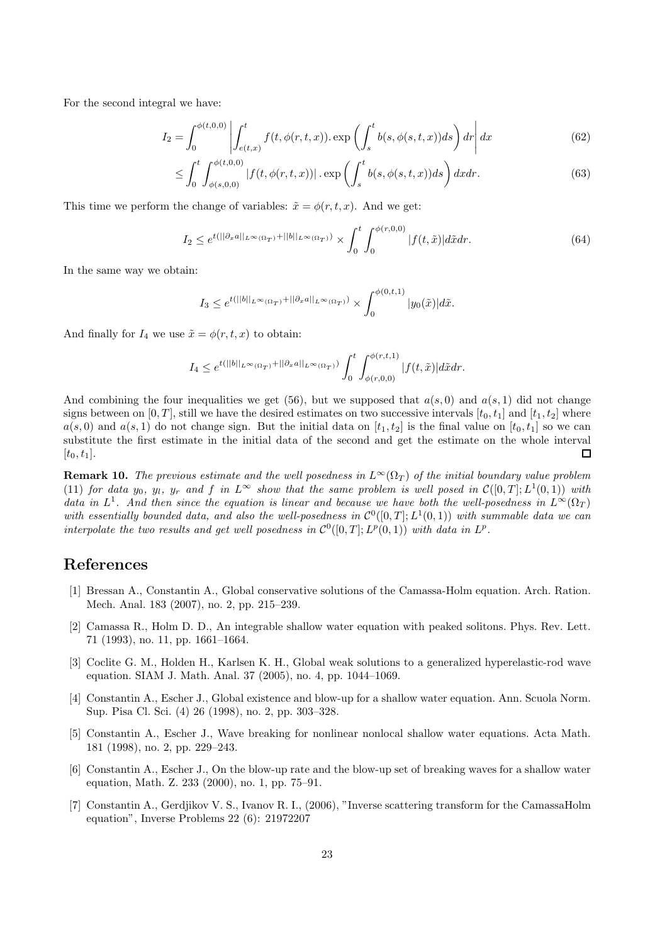For the second integral we have:

$$
I_2 = \int_0^{\phi(t,0,0)} \left| \int_{e(t,x)}^t f(t,\phi(r,t,x)) \cdot \exp\left(\int_s^t b(s,\phi(s,t,x))ds\right) dr \right| dx \tag{62}
$$

$$
\leq \int_0^t \int_{\phi(s,0,0)}^{\phi(t,0,0)} |f(t,\phi(r,t,x))| \cdot \exp\left(\int_s^t b(s,\phi(s,t,x))ds\right) dx dr.
$$
 (63)

This time we perform the change of variables:  $\tilde{x} = \phi(r, t, x)$ . And we get:

$$
I_2 \leq e^{t(||\partial_x a||_{L^{\infty}(\Omega_T)} + ||b||_{L^{\infty}(\Omega_T)})} \times \int_0^t \int_0^{\phi(r,0,0)} |f(t,\tilde{x})| d\tilde{x} dr.
$$
 (64)

In the same way we obtain:

$$
I_3 \leq e^{t(||b||_{L^{\infty}(\Omega_T)} + ||\partial_x a||_{L^{\infty}(\Omega_T)})} \times \int_0^{\phi(0,t,1)} |y_0(\tilde{x})| d\tilde{x}.
$$

And finally for  $I_4$  we use  $\tilde{x} = \phi(r, t, x)$  to obtain:

$$
I_4 \leq e^{t(||b||_{L^{\infty}(\Omega_T)} + ||\partial_x a||_{L^{\infty}(\Omega_T)})} \int_0^t \int_{\phi(r,0,0)}^{\phi(r,t,1)} |f(t,\tilde{x})| d\tilde{x} dr.
$$

And combining the four inequalities we get (56), but we supposed that  $a(s, 0)$  and  $a(s, 1)$  did not change signs between on [0, T], still we have the desired estimates on two successive intervals  $[t_0, t_1]$  and  $[t_1, t_2]$  where  $a(s, 0)$  and  $a(s, 1)$  do not change sign. But the initial data on  $[t_1, t_2]$  is the final value on  $[t_0, t_1]$  so we can substitute the first estimate in the initial data of the second and get the estimate on the whole interval  $\Box$  $[t_0, t_1].$ 

**Remark 10.** The previous estimate and the well posedness in  $L^{\infty}(\Omega_T)$  of the initial boundary value problem (11) for data  $y_0, y_l, y_r$  and f in  $L^{\infty}$  show that the same problem is well posed in  $\mathcal{C}([0,T]; L^1(0,1))$  with data in  $L^1$ . And then since the equation is linear and because we have both the well-posedness in  $L^{\infty}(\Omega_T)$ with essentially bounded data, and also the well-posedness in  $C^0([0,T];L^1(0,1))$  with summable data we can interpolate the two results and get well posedness in  $\mathcal{C}^0([0,T];L^p(0,1))$  with data in  $L^p$ .

## References

- [1] Bressan A., Constantin A., Global conservative solutions of the Camassa-Holm equation. Arch. Ration. Mech. Anal. 183 (2007), no. 2, pp. 215–239.
- [2] Camassa R., Holm D. D., An integrable shallow water equation with peaked solitons. Phys. Rev. Lett. 71 (1993), no. 11, pp. 1661–1664.
- [3] Coclite G. M., Holden H., Karlsen K. H., Global weak solutions to a generalized hyperelastic-rod wave equation. SIAM J. Math. Anal. 37 (2005), no. 4, pp. 1044–1069.
- [4] Constantin A., Escher J., Global existence and blow-up for a shallow water equation. Ann. Scuola Norm. Sup. Pisa Cl. Sci. (4) 26 (1998), no. 2, pp. 303–328.
- [5] Constantin A., Escher J., Wave breaking for nonlinear nonlocal shallow water equations. Acta Math. 181 (1998), no. 2, pp. 229–243.
- [6] Constantin A., Escher J., On the blow-up rate and the blow-up set of breaking waves for a shallow water equation, Math. Z. 233 (2000), no. 1, pp. 75–91.
- [7] Constantin A., Gerdjikov V. S., Ivanov R. I., (2006), "Inverse scattering transform for the CamassaHolm equation", Inverse Problems 22 (6): 21972207